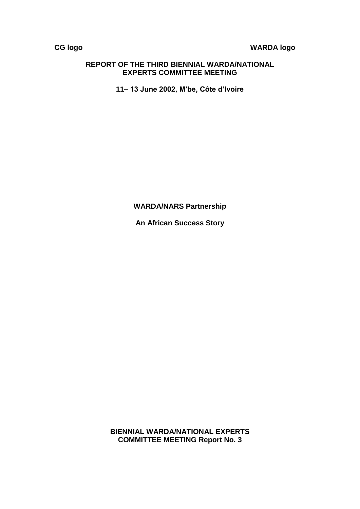# **CG logo WARDA logo**

#### **REPORT OF THE THIRD BIENNIAL WARDA/NATIONAL EXPERTS COMMITTEE MEETING**

**11– 13 June 2002, M'be, Côte d'Ivoire**

**WARDA/NARS Partnership**

**An African Success Story** 

**BIENNIAL WARDA/NATIONAL EXPERTS COMMITTEE MEETING Report No. 3**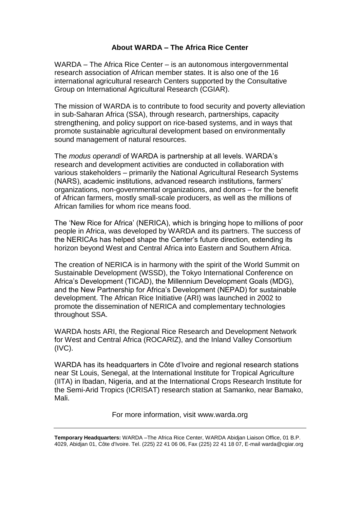# **About WARDA – The Africa Rice Center**

WARDA – The Africa Rice Center – is an autonomous intergovernmental research association of African member states. It is also one of the 16 international agricultural research Centers supported by the Consultative Group on International Agricultural Research (CGIAR).

The mission of WARDA is to contribute to food security and poverty alleviation in sub-Saharan Africa (SSA), through research, partnerships, capacity strengthening, and policy support on rice-based systems, and in ways that promote sustainable agricultural development based on environmentally sound management of natural resources.

The *modus operandi* of WARDA is partnership at all levels. WARDA's research and development activities are conducted in collaboration with various stakeholders – primarily the National Agricultural Research Systems (NARS), academic institutions, advanced research institutions, farmers' organizations, non-governmental organizations, and donors – for the benefit of African farmers, mostly small-scale producers, as well as the millions of African families for whom rice means food.

The 'New Rice for Africa' (NERICA), which is bringing hope to millions of poor people in Africa, was developed by WARDA and its partners. The success of the NERICAs has helped shape the Center's future direction, extending its horizon beyond West and Central Africa into Eastern and Southern Africa.

The creation of NERICA is in harmony with the spirit of the World Summit on Sustainable Development (WSSD), the Tokyo International Conference on Africa's Development (TICAD), the Millennium Development Goals (MDG), and the New Partnership for Africa's Development (NEPAD) for sustainable development. The African Rice Initiative (ARI) was launched in 2002 to promote the dissemination of NERICA and complementary technologies throughout SSA.

WARDA hosts ARI, the Regional Rice Research and Development Network for West and Central Africa (ROCARIZ), and the Inland Valley Consortium (IVC).

WARDA has its headquarters in Côte d'Ivoire and regional research stations near St Louis, Senegal, at the International Institute for Tropical Agriculture (IITA) in Ibadan, Nigeria, and at the International Crops Research Institute for the Semi-Arid Tropics (ICRISAT) research station at Samanko, near Bamako, Mali.

For more information, visit www.warda.org

**Temporary Headquarters:** WARDA –The Africa Rice Center, WARDA Abidjan Liaison Office, 01 B.P. 4029, Abidjan 01, Côte d'Ivoire. Tel. (225) 22 41 06 06, Fax (225) 22 41 18 07, E-mail warda@cgiar.org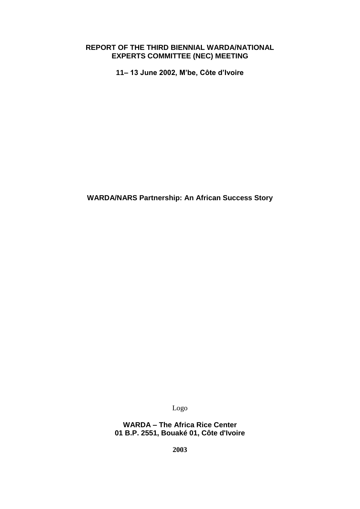### **REPORT OF THE THIRD BIENNIAL WARDA/NATIONAL EXPERTS COMMITTEE (NEC) MEETING**

**11– 13 June 2002, M'be, Côte d'Ivoire**

**WARDA/NARS Partnership: An African Success Story** 

Logo

**WARDA – The Africa Rice Center 01 B.P. 2551, Bouaké 01, Côte d'Ivoire**

**2003**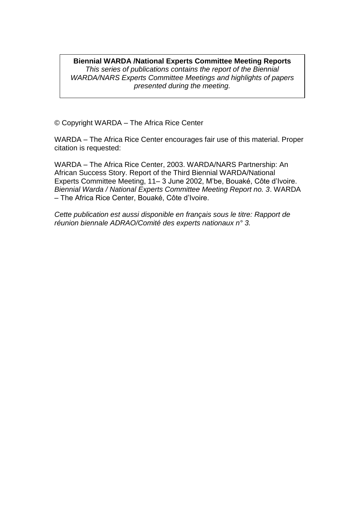#### **Biennial WARDA /National Experts Committee Meeting Reports** *This series of publications contains the report of the Biennial WARDA/NARS Experts Committee Meetings and highlights of papers presented during the meeting.*

© Copyright WARDA – The Africa Rice Center

WARDA – The Africa Rice Center encourages fair use of this material. Proper citation is requested:

WARDA – The Africa Rice Center, 2003. WARDA/NARS Partnership: An African Success Story. Report of the Third Biennial WARDA/National Experts Committee Meeting, 11– 3 June 2002, M'be, Bouaké, Côte d'Ivoire. *Biennial Warda / National Experts Committee Meeting Report no. 3*. WARDA – The Africa Rice Center, Bouaké, Côte d'Ivoire.

*Cette publication est aussi disponible en français sous le titre: Rapport de réunion biennale ADRAO/Comité des experts nationaux n° 3.*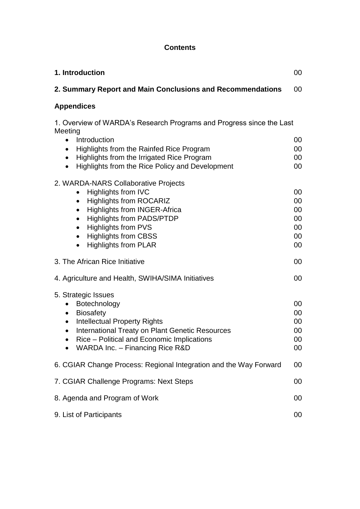# **Contents**

| 1. Introduction                                                                                                                                                                                                                                                                                                                                                        | 00                                     |
|------------------------------------------------------------------------------------------------------------------------------------------------------------------------------------------------------------------------------------------------------------------------------------------------------------------------------------------------------------------------|----------------------------------------|
| 2. Summary Report and Main Conclusions and Recommendations                                                                                                                                                                                                                                                                                                             | 00                                     |
| <b>Appendices</b>                                                                                                                                                                                                                                                                                                                                                      |                                        |
| 1. Overview of WARDA's Research Programs and Progress since the Last<br>Meeting                                                                                                                                                                                                                                                                                        |                                        |
| Introduction<br>$\bullet$<br>Highlights from the Rainfed Rice Program<br>$\bullet$<br>Highlights from the Irrigated Rice Program<br>$\bullet$<br>Highlights from the Rice Policy and Development<br>$\bullet$                                                                                                                                                          | 00<br>00<br>00<br>00                   |
| 2. WARDA-NARS Collaborative Projects<br><b>Highlights from IVC</b><br>$\bullet$<br><b>Highlights from ROCARIZ</b><br>$\bullet$<br><b>Highlights from INGER-Africa</b><br>$\bullet$<br><b>Highlights from PADS/PTDP</b><br>$\bullet$<br><b>Highlights from PVS</b><br>$\bullet$<br><b>Highlights from CBSS</b><br>$\bullet$<br><b>Highlights from PLAR</b><br>$\bullet$ | 00<br>00<br>00<br>00<br>00<br>00<br>00 |
| 3. The African Rice Initiative                                                                                                                                                                                                                                                                                                                                         | 00                                     |
| 4. Agriculture and Health, SWIHA/SIMA Initiatives                                                                                                                                                                                                                                                                                                                      | 00                                     |
| 5. Strategic Issues<br>Botechnology<br>$\bullet$<br><b>Biosafety</b><br>$\bullet$<br><b>Intellectual Property Rights</b><br>$\bullet$<br>International Treaty on Plant Genetic Resources<br>$\bullet$<br>Rice - Political and Economic Implications<br>WARDA Inc. - Financing Rice R&D                                                                                 | 00<br>00<br>00<br>00<br>$00\,$<br>00   |
| 6. CGIAR Change Process: Regional Integration and the Way Forward                                                                                                                                                                                                                                                                                                      | 00                                     |
| 7. CGIAR Challenge Programs: Next Steps                                                                                                                                                                                                                                                                                                                                | 00                                     |
| 8. Agenda and Program of Work                                                                                                                                                                                                                                                                                                                                          | 00                                     |
| 9. List of Participants                                                                                                                                                                                                                                                                                                                                                | 00                                     |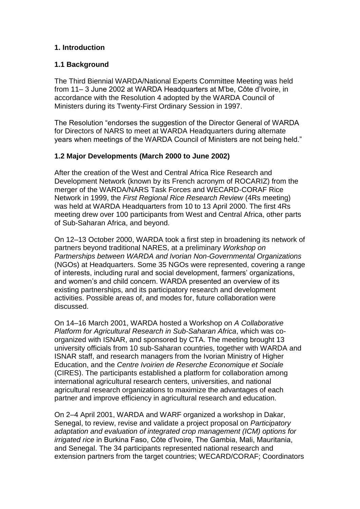# **1. Introduction**

### **1.1 Background**

The Third Biennial WARDA/National Experts Committee Meeting was held from 11– 3 June 2002 at WARDA Headquarters at M'be, Côte d'Ivoire, in accordance with the Resolution 4 adopted by the WARDA Council of Ministers during its Twenty-First Ordinary Session in 1997.

The Resolution "endorses the suggestion of the Director General of WARDA for Directors of NARS to meet at WARDA Headquarters during alternate years when meetings of the WARDA Council of Ministers are not being held."

## **1.2 Major Developments (March 2000 to June 2002)**

After the creation of the West and Central Africa Rice Research and Development Network (known by its French acronym of ROCARIZ) from the merger of the WARDA/NARS Task Forces and WECARD-CORAF Rice Network in 1999, the *First Regional Rice Research Review* (4Rs meeting) was held at WARDA Headquarters from 10 to 13 April 2000. The first 4Rs meeting drew over 100 participants from West and Central Africa, other parts of Sub-Saharan Africa, and beyond.

On 12–13 October 2000, WARDA took a first step in broadening its network of partners beyond traditional NARES, at a preliminary *Workshop on Partnerships between WARDA and Ivorian Non-Governmental Organizations* (NGOs) at Headquarters. Some 35 NGOs were represented, covering a range of interests, including rural and social development, farmers' organizations, and women's and child concern. WARDA presented an overview of its existing partnerships, and its participatory research and development activities. Possible areas of, and modes for, future collaboration were discussed.

On 14–16 March 2001, WARDA hosted a Workshop on *A Collaborative Platform for Agricultural Research in Sub-Saharan Africa*, which was coorganized with ISNAR, and sponsored by CTA. The meeting brought 13 university officials from 10 sub-Saharan countries, together with WARDA and ISNAR staff, and research managers from the Ivorian Ministry of Higher Education, and the *Centre Ivoirien de Reserche Economique et Sociale* (CIRES). The participants established a platform for collaboration among international agricultural research centers, universities, and national agricultural research organizations to maximize the advantages of each partner and improve efficiency in agricultural research and education.

On 2–4 April 2001, WARDA and WARF organized a workshop in Dakar, Senegal, to review, revise and validate a project proposal on *Participatory adaptation and evaluation of integrated crop management (ICM) options for irrigated rice* in Burkina Faso, Côte d'Ivoire, The Gambia, Mali, Mauritania, and Senegal. The 34 participants represented national research and extension partners from the target countries; WECARD/CORAF; Coordinators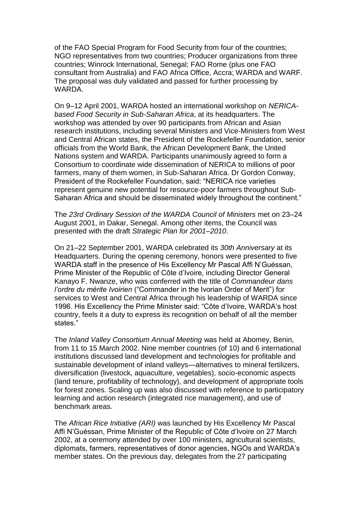of the FAO Special Program for Food Security from four of the countries; NGO representatives from two countries; Producer organizations from three countries; Winrock International, Senegal; FAO Rome (plus one FAO consultant from Australia) and FAO Africa Office, Accra; WARDA and WARF. The proposal was duly validated and passed for further processing by WARDA.

On 9–12 April 2001, WARDA hosted an international workshop on *NERICAbased Food Security in Sub-Saharan Africa*, at its headquarters. The workshop was attended by over 90 participants from African and Asian research institutions, including several Ministers and Vice-Ministers from West and Central African states, the President of the Rockefeller Foundation, senior officials from the World Bank, the African Development Bank, the United Nations system and WARDA. Participants unanimously agreed to form a Consortium to coordinate wide dissemination of NERICA to millions of poor farmers, many of them women, in Sub-Saharan Africa. Dr Gordon Conway, President of the Rockefeller Foundation, said: "NERICA rice varieties represent genuine new potential for resource-poor farmers throughout Sub-Saharan Africa and should be disseminated widely throughout the continent."

The *23rd Ordinary Session of the WARDA Council of Ministers* met on 23–24 August 2001, in Dakar, Senegal. Among other items, the Council was presented with the draft *Strategic Plan for 2001–2010*.

On 21–22 September 2001, WARDA celebrated its *30th Anniversary* at its Headquarters. During the opening ceremony, honors were presented to five WARDA staff in the presence of His Excellency Mr Pascal Affi N'Guéssan, Prime Minister of the Republic of Côte d'Ivoire, including Director General Kanayo F. Nwanze, who was conferred with the title of *Commandeur dans l'ordre du mérite Ivoirien* ("Commander in the Ivorian Order of Merit") for services to West and Central Africa through his leadership of WARDA since 1996. His Excellency the Prime Minister said: "Côte d'Ivoire, WARDA's host country, feels it a duty to express its recognition on behalf of all the member states."

The *Inland Valley Consortium Annual Meeting* was held at Abomey, Benin, from 11 to 15 March 2002. Nine member countries (of 10) and 6 international institutions discussed land development and technologies for profitable and sustainable development of inland valleys—alternatives to mineral fertilizers, diversification (livestock, aquaculture, vegetables), socio-economic aspects (land tenure, profitability of technology), and development of appropriate tools for forest zones. Scaling up was also discussed with reference to participatory learning and action research (integrated rice management), and use of benchmark areas.

The *African Rice Initiative (ARI)* was launched by His Excellency Mr Pascal Affi N'Guéssan, Prime Minister of the Republic of Côte d'Ivoire on 27 March 2002, at a ceremony attended by over 100 ministers, agricultural scientists, diplomats, farmers, representatives of donor agencies, NGOs and WARDA's member states. On the previous day, delegates from the 27 participating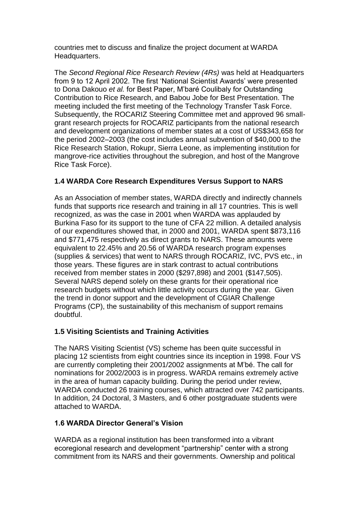countries met to discuss and finalize the project document at WARDA Headquarters.

The *Second Regional Rice Research Review (4Rs)* was held at Headquarters from 9 to 12 April 2002. The first 'National Scientist Awards' were presented to Dona Dakouo *et al.* for Best Paper, M'baré Coulibaly for Outstanding Contribution to Rice Research, and Babou Jobe for Best Presentation. The meeting included the first meeting of the Technology Transfer Task Force. Subsequently, the ROCARIZ Steering Committee met and approved 96 smallgrant research projects for ROCARIZ participants from the national research and development organizations of member states at a cost of US\$343,658 for the period 2002–2003 (the cost includes annual subvention of \$40,000 to the Rice Research Station, Rokupr, Sierra Leone, as implementing institution for mangrove-rice activities throughout the subregion, and host of the Mangrove Rice Task Force).

# **1.4 WARDA Core Research Expenditures Versus Support to NARS**

As an Association of member states, WARDA directly and indirectly channels funds that supports rice research and training in all 17 countries. This is well recognized, as was the case in 2001 when WARDA was applauded by Burkina Faso for its support to the tune of CFA 22 million. A detailed analysis of our expenditures showed that, in 2000 and 2001, WARDA spent \$873,116 and \$771,475 respectively as direct grants to NARS. These amounts were equivalent to 22.45% and 20.56 of WARDA research program expenses (supplies & services) that went to NARS through ROCARIZ, IVC, PVS etc., in those years. These figures are in stark contrast to actual contributions received from member states in 2000 (\$297,898) and 2001 (\$147,505). Several NARS depend solely on these grants for their operational rice research budgets without which little activity occurs during the year. Given the trend in donor support and the development of CGIAR Challenge Programs (CP), the sustainability of this mechanism of support remains doubtful.

# **1.5 Visiting Scientists and Training Activities**

The NARS Visiting Scientist (VS) scheme has been quite successful in placing 12 scientists from eight countries since its inception in 1998. Four VS are currently completing their 2001/2002 assignments at M'bé. The call for nominations for 2002/2003 is in progress. WARDA remains extremely active in the area of human capacity building. During the period under review, WARDA conducted 26 training courses, which attracted over 742 participants. In addition, 24 Doctoral, 3 Masters, and 6 other postgraduate students were attached to WARDA.

# **1.6 WARDA Director General's Vision**

WARDA as a regional institution has been transformed into a vibrant ecoregional research and development "partnership" center with a strong commitment from its NARS and their governments. Ownership and political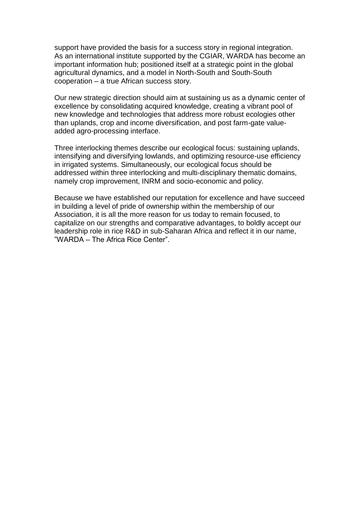support have provided the basis for a success story in regional integration. As an international institute supported by the CGIAR, WARDA has become an important information hub; positioned itself at a strategic point in the global agricultural dynamics, and a model in North-South and South-South cooperation – a true African success story.

Our new strategic direction should aim at sustaining us as a dynamic center of excellence by consolidating acquired knowledge, creating a vibrant pool of new knowledge and technologies that address more robust ecologies other than uplands, crop and income diversification, and post farm-gate valueadded agro-processing interface.

Three interlocking themes describe our ecological focus: sustaining uplands, intensifying and diversifying lowlands, and optimizing resource-use efficiency in irrigated systems. Simultaneously, our ecological focus should be addressed within three interlocking and multi-disciplinary thematic domains, namely crop improvement, INRM and socio-economic and policy.

Because we have established our reputation for excellence and have succeed in building a level of pride of ownership within the membership of our Association, it is all the more reason for us today to remain focused, to capitalize on our strengths and comparative advantages, to boldly accept our leadership role in rice R&D in sub-Saharan Africa and reflect it in our name, "WARDA – The Africa Rice Center".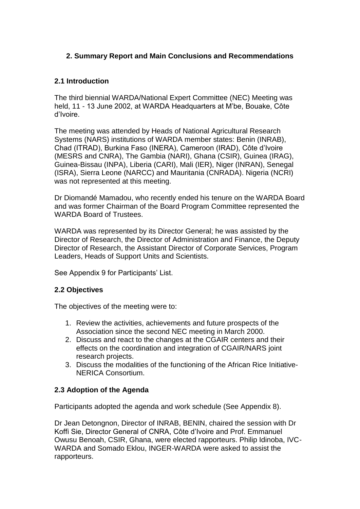# **2. Summary Report and Main Conclusions and Recommendations**

# **2.1 Introduction**

The third biennial WARDA/National Expert Committee (NEC) Meeting was held, 11 - 13 June 2002, at WARDA Headquarters at M'be, Bouake, Côte d'Ivoire.

The meeting was attended by Heads of National Agricultural Research Systems (NARS) institutions of WARDA member states: Benin (INRAB), Chad (ITRAD), Burkina Faso (INERA), Cameroon (IRAD), Côte d'Ivoire (MESRS and CNRA), The Gambia (NARI), Ghana (CSIR), Guinea (IRAG), Guinea-Bissau (INPA), Liberia (CARI), Mali (IER), Niger (INRAN), Senegal (ISRA), Sierra Leone (NARCC) and Mauritania (CNRADA). Nigeria (NCRI) was not represented at this meeting.

Dr Diomandé Mamadou, who recently ended his tenure on the WARDA Board and was former Chairman of the Board Program Committee represented the WARDA Board of Trustees.

WARDA was represented by its Director General; he was assisted by the Director of Research, the Director of Administration and Finance, the Deputy Director of Research, the Assistant Director of Corporate Services, Program Leaders, Heads of Support Units and Scientists.

See Appendix 9 for Participants' List.

#### **2.2 Objectives**

The objectives of the meeting were to:

- 1. Review the activities, achievements and future prospects of the Association since the second NEC meeting in March 2000.
- 2. Discuss and react to the changes at the CGAIR centers and their effects on the coordination and integration of CGAIR/NARS joint research projects.
- 3. Discuss the modalities of the functioning of the African Rice Initiative-NERICA Consortium.

#### **2.3 Adoption of the Agenda**

Participants adopted the agenda and work schedule (See Appendix 8).

Dr Jean Detongnon, Director of INRAB, BENIN, chaired the session with Dr Koffi Sie, Director General of CNRA, Côte d'Ivoire and Prof. Emmanuel Owusu Benoah, CSIR, Ghana, were elected rapporteurs. Philip Idinoba, IVC-WARDA and Somado Eklou, INGER-WARDA were asked to assist the rapporteurs.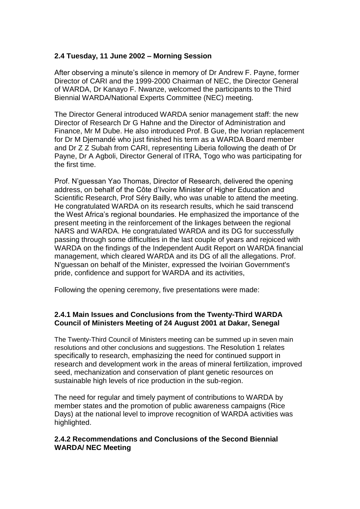### **2.4 Tuesday, 11 June 2002 – Morning Session**

After observing a minute's silence in memory of Dr Andrew F. Payne, former Director of CARI and the 1999-2000 Chairman of NEC, the Director General of WARDA, Dr Kanayo F. Nwanze, welcomed the participants to the Third Biennial WARDA/National Experts Committee (NEC) meeting.

The Director General introduced WARDA senior management staff: the new Director of Research Dr G Hahne and the Director of Administration and Finance, Mr M Dube. He also introduced Prof. B Gue, the Ivorian replacement for Dr M Djemandé who just finished his term as a WARDA Board member and Dr Z Z Subah from CARI, representing Liberia following the death of Dr Payne, Dr A Agboli, Director General of ITRA, Togo who was participating for the first time.

Prof. N'guessan Yao Thomas, Director of Research, delivered the opening address, on behalf of the Côte d'Ivoire Minister of Higher Education and Scientific Research, Prof Séry Bailly, who was unable to attend the meeting. He congratulated WARDA on its research results, which he said transcend the West Africa's regional boundaries. He emphasized the importance of the present meeting in the reinforcement of the linkages between the regional NARS and WARDA. He congratulated WARDA and its DG for successfully passing through some difficulties in the last couple of years and rejoiced with WARDA on the findings of the Independent Audit Report on WARDA financial management, which cleared WARDA and its DG of all the allegations. Prof. N'guessan on behalf of the Minister, expressed the Ivoirian Government's pride, confidence and support for WARDA and its activities,

Following the opening ceremony, five presentations were made:

#### **2.4.1 Main Issues and Conclusions from the Twenty-Third WARDA Council of Ministers Meeting of 24 August 2001 at Dakar, Senegal**

The Twenty-Third Council of Ministers meeting can be summed up in seven main resolutions and other conclusions and suggestions. The Resolution 1 relates specifically to research, emphasizing the need for continued support in research and development work in the areas of mineral fertilization, improved seed, mechanization and conservation of plant genetic resources on sustainable high levels of rice production in the sub-region.

The need for regular and timely payment of contributions to WARDA by member states and the promotion of public awareness campaigns (Rice Days) at the national level to improve recognition of WARDA activities was highlighted.

## **2.4.2 Recommendations and Conclusions of the Second Biennial WARDA/ NEC Meeting**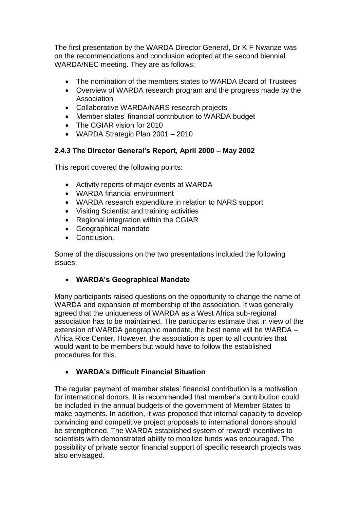The first presentation by the WARDA Director General, Dr K F Nwanze was on the recommendations and conclusion adopted at the second biennial WARDA/NEC meeting. They are as follows:

- The nomination of the members states to WARDA Board of Trustees
- Overview of WARDA research program and the progress made by the Association
- Collaborative WARDA/NARS research projects
- Member states' financial contribution to WARDA budget
- The CGIAR vision for 2010
- WARDA Strategic Plan 2001 2010

## **2.4.3 The Director General's Report, April 2000 – May 2002**

This report covered the following points:

- Activity reports of major events at WARDA
- WARDA financial environment
- WARDA research expenditure in relation to NARS support
- Visiting Scientist and training activities
- Regional integration within the CGIAR
- Geographical mandate
- Conclusion.

Some of the discussions on the two presentations included the following issues:

#### **WARDA's Geographical Mandate**

Many participants raised questions on the opportunity to change the name of WARDA and expansion of membership of the association. It was generally agreed that the uniqueness of WARDA as a West Africa sub-regional association has to be maintained. The participants estimate that in view of the extension of WARDA geographic mandate, the best name will be WARDA – Africa Rice Center. However, the association is open to all countries that would want to be members but would have to follow the established procedures for this.

# **WARDA's Difficult Financial Situation**

The regular payment of member states' financial contribution is a motivation for international donors. It is recommended that member's contribution could be included in the annual budgets of the government of Member States to make payments. In addition, it was proposed that internal capacity to develop convincing and competitive project proposals to international donors should be strengthened. The WARDA established system of reward/ incentives to scientists with demonstrated ability to mobilize funds was encouraged. The possibility of private sector financial support of specific research projects was also envisaged.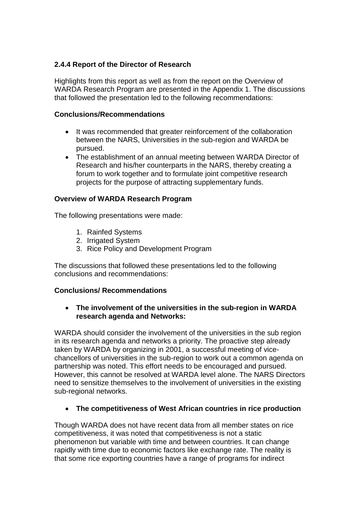# **2.4.4 Report of the Director of Research**

Highlights from this report as well as from the report on the Overview of WARDA Research Program are presented in the Appendix 1. The discussions that followed the presentation led to the following recommendations:

## **Conclusions/Recommendations**

- It was recommended that greater reinforcement of the collaboration between the NARS, Universities in the sub-region and WARDA be pursued.
- The establishment of an annual meeting between WARDA Director of Research and his/her counterparts in the NARS, thereby creating a forum to work together and to formulate joint competitive research projects for the purpose of attracting supplementary funds.

# **Overview of WARDA Research Program**

The following presentations were made:

- 1. Rainfed Systems
- 2. Irrigated System
- 3. Rice Policy and Development Program

The discussions that followed these presentations led to the following conclusions and recommendations:

# **Conclusions/ Recommendations**

## **The involvement of the universities in the sub-region in WARDA research agenda and Networks:**

WARDA should consider the involvement of the universities in the sub region in its research agenda and networks a priority. The proactive step already taken by WARDA by organizing in 2001, a successful meeting of vicechancellors of universities in the sub-region to work out a common agenda on partnership was noted. This effort needs to be encouraged and pursued. However, this cannot be resolved at WARDA level alone. The NARS Directors need to sensitize themselves to the involvement of universities in the existing sub-regional networks.

# **The competitiveness of West African countries in rice production**

Though WARDA does not have recent data from all member states on rice competitiveness, it was noted that competitiveness is not a static phenomenon but variable with time and between countries. It can change rapidly with time due to economic factors like exchange rate. The reality is that some rice exporting countries have a range of programs for indirect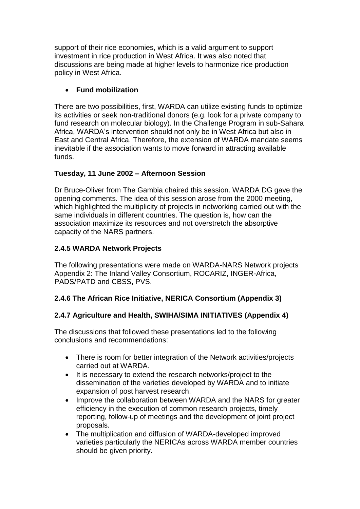support of their rice economies, which is a valid argument to support investment in rice production in West Africa. It was also noted that discussions are being made at higher levels to harmonize rice production policy in West Africa.

# **Fund mobilization**

There are two possibilities, first, WARDA can utilize existing funds to optimize its activities or seek non-traditional donors (e.g. look for a private company to fund research on molecular biology). In the Challenge Program in sub-Sahara Africa, WARDA's intervention should not only be in West Africa but also in East and Central Africa. Therefore, the extension of WARDA mandate seems inevitable if the association wants to move forward in attracting available funds.

# **Tuesday, 11 June 2002 – Afternoon Session**

Dr Bruce-Oliver from The Gambia chaired this session. WARDA DG gave the opening comments. The idea of this session arose from the 2000 meeting, which highlighted the multiplicity of projects in networking carried out with the same individuals in different countries. The question is, how can the association maximize its resources and not overstretch the absorptive capacity of the NARS partners.

# **2.4.5 WARDA Network Projects**

The following presentations were made on WARDA-NARS Network projects Appendix 2: The Inland Valley Consortium, ROCARIZ, INGER-Africa, PADS/PATD and CBSS, PVS.

# **2.4.6 The African Rice Initiative, NERICA Consortium (Appendix 3)**

# **2.4.7 Agriculture and Health, SWIHA/SIMA INITIATIVES (Appendix 4)**

The discussions that followed these presentations led to the following conclusions and recommendations:

- There is room for better integration of the Network activities/projects carried out at WARDA.
- It is necessary to extend the research networks/project to the dissemination of the varieties developed by WARDA and to initiate expansion of post harvest research.
- Improve the collaboration between WARDA and the NARS for greater efficiency in the execution of common research projects, timely reporting, follow-up of meetings and the development of joint project proposals.
- The multiplication and diffusion of WARDA-developed improved varieties particularly the NERICAs across WARDA member countries should be given priority.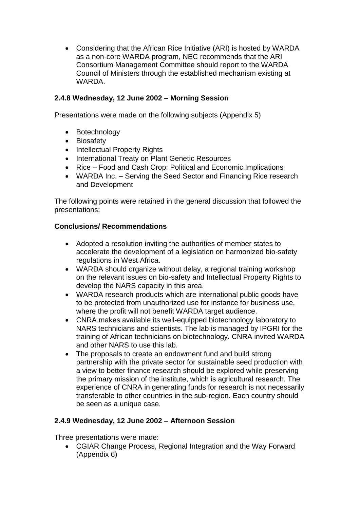Considering that the African Rice Initiative (ARI) is hosted by WARDA as a non-core WARDA program, NEC recommends that the ARI Consortium Management Committee should report to the WARDA Council of Ministers through the established mechanism existing at WARDA.

# **2.4.8 Wednesday, 12 June 2002 – Morning Session**

Presentations were made on the following subjects (Appendix 5)

- Botechnology
- Biosafety
- Intellectual Property Rights
- International Treaty on Plant Genetic Resources
- Rice Food and Cash Crop: Political and Economic Implications
- WARDA Inc. Serving the Seed Sector and Financing Rice research and Development

The following points were retained in the general discussion that followed the presentations:

# **Conclusions/ Recommendations**

- Adopted a resolution inviting the authorities of member states to accelerate the development of a legislation on harmonized bio-safety regulations in West Africa.
- WARDA should organize without delay, a regional training workshop on the relevant issues on bio-safety and Intellectual Property Rights to develop the NARS capacity in this area.
- WARDA research products which are international public goods have to be protected from unauthorized use for instance for business use, where the profit will not benefit WARDA target audience.
- CNRA makes available its well-equipped biotechnology laboratory to NARS technicians and scientists. The lab is managed by IPGRI for the training of African technicians on biotechnology. CNRA invited WARDA and other NARS to use this lab.
- The proposals to create an endowment fund and build strong partnership with the private sector for sustainable seed production with a view to better finance research should be explored while preserving the primary mission of the institute, which is agricultural research. The experience of CNRA in generating funds for research is not necessarily transferable to other countries in the sub-region. Each country should be seen as a unique case.

# **2.4.9 Wednesday, 12 June 2002 – Afternoon Session**

Three presentations were made:

 CGIAR Change Process, Regional Integration and the Way Forward (Appendix 6)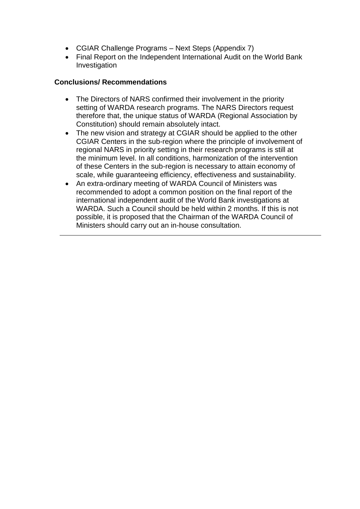- CGIAR Challenge Programs Next Steps (Appendix 7)
- Final Report on the Independent International Audit on the World Bank Investigation

### **Conclusions/ Recommendations**

- The Directors of NARS confirmed their involvement in the priority setting of WARDA research programs. The NARS Directors request therefore that, the unique status of WARDA (Regional Association by Constitution) should remain absolutely intact.
- The new vision and strategy at CGIAR should be applied to the other CGIAR Centers in the sub-region where the principle of involvement of regional NARS in priority setting in their research programs is still at the minimum level. In all conditions, harmonization of the intervention of these Centers in the sub-region is necessary to attain economy of scale, while guaranteeing efficiency, effectiveness and sustainability.
- An extra-ordinary meeting of WARDA Council of Ministers was recommended to adopt a common position on the final report of the international independent audit of the World Bank investigations at WARDA. Such a Council should be held within 2 months. If this is not possible, it is proposed that the Chairman of the WARDA Council of Ministers should carry out an in-house consultation.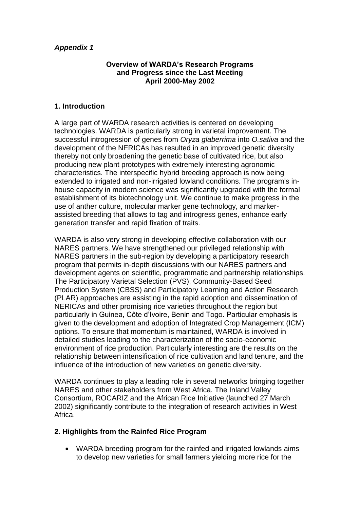#### **Overview of WARDA's Research Programs and Progress since the Last Meeting April 2000-May 2002**

#### **1. Introduction**

A large part of WARDA research activities is centered on developing technologies. WARDA is particularly strong in varietal improvement. The successful introgression of genes from *Oryza glaberrima* into *O.sativa* and the development of the NERICAs has resulted in an improved genetic diversity thereby not only broadening the genetic base of cultivated rice, but also producing new plant prototypes with extremely interesting agronomic characteristics. The interspecific hybrid breeding approach is now being extended to irrigated and non-irrigated lowland conditions. The program's inhouse capacity in modern science was significantly upgraded with the formal establishment of its biotechnology unit. We continue to make progress in the use of anther culture, molecular marker gene technology, and markerassisted breeding that allows to tag and introgress genes, enhance early generation transfer and rapid fixation of traits.

WARDA is also very strong in developing effective collaboration with our NARES partners. We have strengthened our privileged relationship with NARES partners in the sub-region by developing a participatory research program that permits in-depth discussions with our NARES partners and development agents on scientific, programmatic and partnership relationships. The Participatory Varietal Selection (PVS), Community-Based Seed Production System (CBSS) and Participatory Learning and Action Research (PLAR) approaches are assisting in the rapid adoption and dissemination of NERICAs and other promising rice varieties throughout the region but particularly in Guinea, Côte d'Ivoire, Benin and Togo. Particular emphasis is given to the development and adoption of Integrated Crop Management (ICM) options. To ensure that momentum is maintained, WARDA is involved in detailed studies leading to the characterization of the socio-economic environment of rice production. Particularly interesting are the results on the relationship between intensification of rice cultivation and land tenure, and the influence of the introduction of new varieties on genetic diversity.

WARDA continues to play a leading role in several networks bringing together NARES and other stakeholders from West Africa. The Inland Valley Consortium, ROCARIZ and the African Rice Initiative (launched 27 March 2002) significantly contribute to the integration of research activities in West Africa.

# **2. Highlights from the Rainfed Rice Program**

 WARDA breeding program for the rainfed and irrigated lowlands aims to develop new varieties for small farmers yielding more rice for the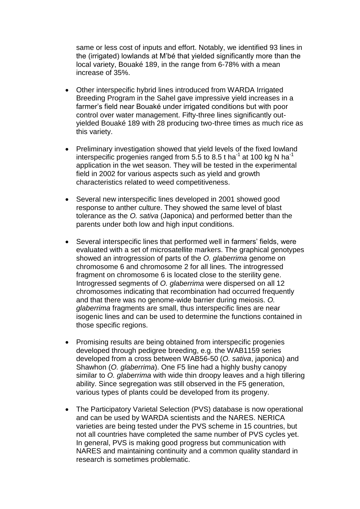same or less cost of inputs and effort. Notably, we identified 93 lines in the (irrigated) lowlands at M'bé that yielded significantly more than the local variety, Bouaké 189, in the range from 6-78% with a mean increase of 35%.

- Other interspecific hybrid lines introduced from WARDA Irrigated Breeding Program in the Sahel gave impressive yield increases in a farmer's field near Bouaké under irrigated conditions but with poor control over water management. Fifty-three lines significantly outyielded Bouaké 189 with 28 producing two-three times as much rice as this variety.
- Preliminary investigation showed that yield levels of the fixed lowland interspecific progenies ranged from 5.5 to 8.5 t ha<sup>-1</sup> at 100 kg N ha<sup>-1</sup> application in the wet season. They will be tested in the experimental field in 2002 for various aspects such as yield and growth characteristics related to weed competitiveness.
- Several new interspecific lines developed in 2001 showed good response to anther culture. They showed the same level of blast tolerance as the *O. sativa* (Japonica) and performed better than the parents under both low and high input conditions.
- Several interspecific lines that performed well in farmers' fields, were evaluated with a set of microsatellite markers. The graphical genotypes showed an introgression of parts of the *O. glaberrima* genome on chromosome 6 and chromosome 2 for all lines. The introgressed fragment on chromosome 6 is located close to the sterility gene. Introgressed segments of *O. glaberrima* were dispersed on all 12 chromosomes indicating that recombination had occurred frequently and that there was no genome-wide barrier during meiosis. *O. glaberrima* fragments are small, thus interspecific lines are near isogenic lines and can be used to determine the functions contained in those specific regions.
- Promising results are being obtained from interspecific progenies developed through pedigree breeding, e.g. the WAB1159 series developed from a cross between WAB56-50 (*O. sativa*, japonica) and Shawhon (*O. glaberrima*). One F5 line had a highly bushy canopy similar to *O. glaberrima* with wide thin droopy leaves and a high tillering ability. Since segregation was still observed in the F5 generation, various types of plants could be developed from its progeny.
- The Participatory Varietal Selection (PVS) database is now operational and can be used by WARDA scientists and the NARES. NERICA varieties are being tested under the PVS scheme in 15 countries, but not all countries have completed the same number of PVS cycles yet. In general, PVS is making good progress but communication with NARES and maintaining continuity and a common quality standard in research is sometimes problematic.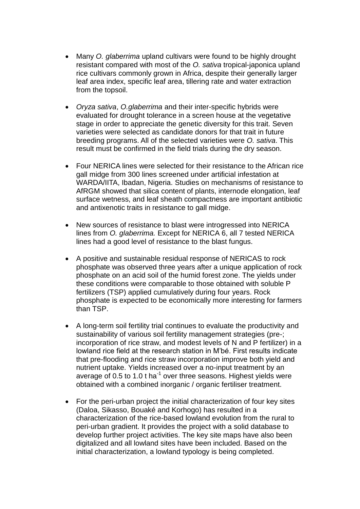- Many *O. glaberrima* upland cultivars were found to be highly drought resistant compared with most of the *O. sativa* tropical-japonica upland rice cultivars commonly grown in Africa, despite their generally larger leaf area index, specific leaf area, tillering rate and water extraction from the topsoil.
- *Oryza sativa*, *O.glaberrima* and their inter-specific hybrids were evaluated for drought tolerance in a screen house at the vegetative stage in order to appreciate the genetic diversity for this trait. Seven varieties were selected as candidate donors for that trait in future breeding programs. All of the selected varieties were *O. sativa*. This result must be confirmed in the field trials during the dry season.
- Four NERICA lines were selected for their resistance to the African rice gall midge from 300 lines screened under artificial infestation at WARDA/IITA, Ibadan, Nigeria. Studies on mechanisms of resistance to AfRGM showed that silica content of plants, internode elongation, leaf surface wetness, and leaf sheath compactness are important antibiotic and antixenotic traits in resistance to gall midge.
- New sources of resistance to blast were introgressed into NERICA lines from *O. glaberrima.* Except for NERICA 6, all 7 tested NERICA lines had a good level of resistance to the blast fungus.
- A positive and sustainable residual response of NERICAS to rock phosphate was observed three years after a unique application of rock phosphate on an acid soil of the humid forest zone. The yields under these conditions were comparable to those obtained with soluble P fertilizers (TSP) applied cumulatively during four years. Rock phosphate is expected to be economically more interesting for farmers than TSP.
- A long-term soil fertility trial continues to evaluate the productivity and sustainability of various soil fertility management strategies (pre-; incorporation of rice straw, and modest levels of N and P fertilizer) in a lowland rice field at the research station in M'bé. First results indicate that pre-flooding and rice straw incorporation improve both yield and nutrient uptake. Yields increased over a no-input treatment by an average of 0.5 to 1.0 t ha $^{-1}$  over three seasons. Highest yields were obtained with a combined inorganic / organic fertiliser treatment.
- For the peri-urban project the initial characterization of four key sites (Daloa, Sikasso, Bouaké and Korhogo) has resulted in a characterization of the rice-based lowland evolution from the rural to peri-urban gradient. It provides the project with a solid database to develop further project activities. The key site maps have also been digitalized and all lowland sites have been included. Based on the initial characterization, a lowland typology is being completed.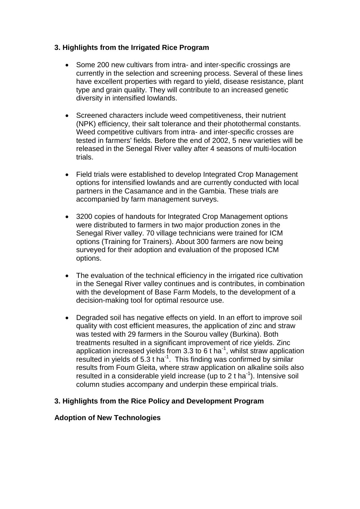# **3. Highlights from the Irrigated Rice Program**

- Some 200 new cultivars from intra- and inter-specific crossings are currently in the selection and screening process. Several of these lines have excellent properties with regard to yield, disease resistance, plant type and grain quality. They will contribute to an increased genetic diversity in intensified lowlands.
- Screened characters include weed competitiveness, their nutrient (NPK) efficiency, their salt tolerance and their photothermal constants. Weed competitive cultivars from intra- and inter-specific crosses are tested in farmers' fields. Before the end of 2002, 5 new varieties will be released in the Senegal River valley after 4 seasons of multi-location trials.
- Field trials were established to develop Integrated Crop Management options for intensified lowlands and are currently conducted with local partners in the Casamance and in the Gambia. These trials are accompanied by farm management surveys.
- 3200 copies of handouts for Integrated Crop Management options were distributed to farmers in two major production zones in the Senegal River valley. 70 village technicians were trained for ICM options (Training for Trainers). About 300 farmers are now being surveyed for their adoption and evaluation of the proposed ICM options.
- The evaluation of the technical efficiency in the irrigated rice cultivation in the Senegal River valley continues and is contributes, in combination with the development of Base Farm Models, to the development of a decision-making tool for optimal resource use.
- Degraded soil has negative effects on yield. In an effort to improve soil quality with cost efficient measures, the application of zinc and straw was tested with 29 farmers in the Sourou valley (Burkina). Both treatments resulted in a significant improvement of rice yields. Zinc application increased yields from 3.3 to 6 t ha<sup>-1</sup>, whilst straw application resulted in yields of  $5.3$  t ha<sup>-1</sup>. This finding was confirmed by similar results from Foum Gleita, where straw application on alkaline soils also resulted in a considerable yield increase (up to 2 t ha<sup>-1</sup>). Intensive soil column studies accompany and underpin these empirical trials.

#### **3. Highlights from the Rice Policy and Development Program**

#### **Adoption of New Technologies**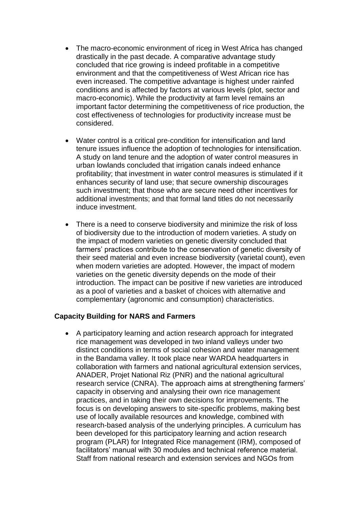- The macro-economic environment of riceg in West Africa has changed drastically in the past decade. A comparative advantage study concluded that rice growing is indeed profitable in a competitive environment and that the competitiveness of West African rice has even increased. The competitive advantage is highest under rainfed conditions and is affected by factors at various levels (plot, sector and macro-economic). While the productivity at farm level remains an important factor determining the competitiveness of rice production, the cost effectiveness of technologies for productivity increase must be considered.
- Water control is a critical pre-condition for intensification and land tenure issues influence the adoption of technologies for intensification. A study on land tenure and the adoption of water control measures in urban lowlands concluded that irrigation canals indeed enhance profitability; that investment in water control measures is stimulated if it enhances security of land use; that secure ownership discourages such investment; that those who are secure need other incentives for additional investments; and that formal land titles do not necessarily induce investment.
- There is a need to conserve biodiversity and minimize the risk of loss of biodiversity due to the introduction of modern varieties. A study on the impact of modern varieties on genetic diversity concluded that farmers' practices contribute to the conservation of genetic diversity of their seed material and even increase biodiversity (varietal count), even when modern varieties are adopted. However, the impact of modern varieties on the genetic diversity depends on the mode of their introduction. The impact can be positive if new varieties are introduced as a pool of varieties and a basket of choices with alternative and complementary (agronomic and consumption) characteristics.

#### **Capacity Building for NARS and Farmers**

 A participatory learning and action research approach for integrated rice management was developed in two inland valleys under two distinct conditions in terms of social cohesion and water management in the Bandama valley. It took place near WARDA headquarters in collaboration with farmers and national agricultural extension services, ANADER, Projet National Riz (PNR) and the national agricultural research service (CNRA). The approach aims at strengthening farmers' capacity in observing and analysing their own rice management practices, and in taking their own decisions for improvements. The focus is on developing answers to site-specific problems, making best use of locally available resources and knowledge, combined with research-based analysis of the underlying principles. A curriculum has been developed for this participatory learning and action research program (PLAR) for Integrated Rice management (IRM), composed of facilitators' manual with 30 modules and technical reference material. Staff from national research and extension services and NGOs from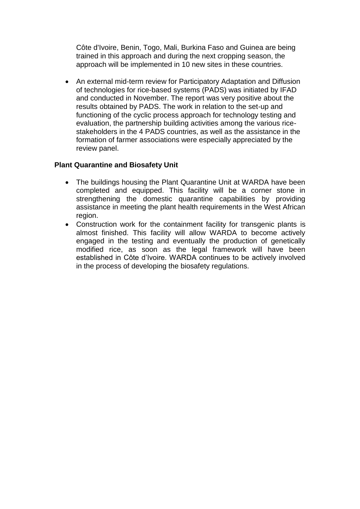Côte d'Ivoire, Benin, Togo, Mali, Burkina Faso and Guinea are being trained in this approach and during the next cropping season, the approach will be implemented in 10 new sites in these countries.

 An external mid-term review for Participatory Adaptation and Diffusion of technologies for rice-based systems (PADS) was initiated by IFAD and conducted in November. The report was very positive about the results obtained by PADS. The work in relation to the set-up and functioning of the cyclic process approach for technology testing and evaluation, the partnership building activities among the various ricestakeholders in the 4 PADS countries, as well as the assistance in the formation of farmer associations were especially appreciated by the review panel.

#### **Plant Quarantine and Biosafety Unit**

- The buildings housing the Plant Quarantine Unit at WARDA have been completed and equipped. This facility will be a corner stone in strengthening the domestic quarantine capabilities by providing assistance in meeting the plant health requirements in the West African region.
- Construction work for the containment facility for transgenic plants is almost finished. This facility will allow WARDA to become actively engaged in the testing and eventually the production of genetically modified rice, as soon as the legal framework will have been established in Côte d'Ivoire. WARDA continues to be actively involved in the process of developing the biosafety regulations.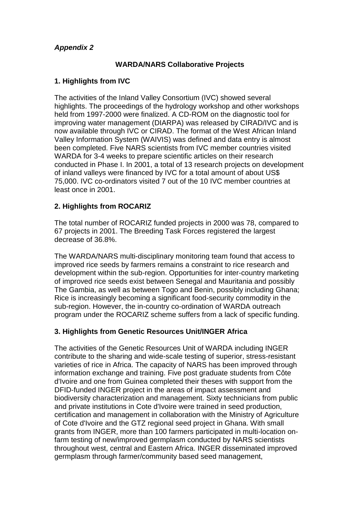## **WARDA/NARS Collaborative Projects**

# **1. Highlights from IVC**

The activities of the Inland Valley Consortium (IVC) showed several highlights. The proceedings of the hydrology workshop and other workshops held from 1997-2000 were finalized. A CD-ROM on the diagnostic tool for improving water management (DIARPA) was released by CIRAD/IVC and is now available through IVC or CIRAD. The format of the West African Inland Valley Information System (WAIVIS) was defined and data entry is almost been completed. Five NARS scientists from IVC member countries visited WARDA for 3-4 weeks to prepare scientific articles on their research conducted in Phase I. In 2001, a total of 13 research projects on development of inland valleys were financed by IVC for a total amount of about US\$ 75,000. IVC co-ordinators visited 7 out of the 10 IVC member countries at least once in 2001.

## **2. Highlights from ROCARIZ**

The total number of ROCARIZ funded projects in 2000 was 78, compared to 67 projects in 2001. The Breeding Task Forces registered the largest decrease of 36.8%.

The WARDA/NARS multi-disciplinary monitoring team found that access to improved rice seeds by farmers remains a constraint to rice research and development within the sub-region. Opportunities for inter-country marketing of improved rice seeds exist between Senegal and Mauritania and possibly The Gambia, as well as between Togo and Benin, possibly including Ghana; Rice is increasingly becoming a significant food-security commodity in the sub-region. However, the in-country co-ordination of WARDA outreach program under the ROCARIZ scheme suffers from a lack of specific funding.

# **3. Highlights from Genetic Resources Unit/INGER Africa**

The activities of the Genetic Resources Unit of WARDA including INGER contribute to the sharing and wide-scale testing of superior, stress-resistant varieties of rice in Africa. The capacity of NARS has been improved through information exchange and training. Five post graduate students from Côte d'Ivoire and one from Guinea completed their theses with support from the DFID-funded INGER project in the areas of impact assessment and biodiversity characterization and management. Sixty technicians from public and private institutions in Cote d'Ivoire were trained in seed production, certification and management in collaboration with the Ministry of Agriculture of Cote d'Ivoire and the GTZ regional seed project in Ghana. With small grants from INGER, more than 100 farmers participated in multi-location onfarm testing of new/improved germplasm conducted by NARS scientists throughout west, central and Eastern Africa. INGER disseminated improved germplasm through farmer/community based seed management,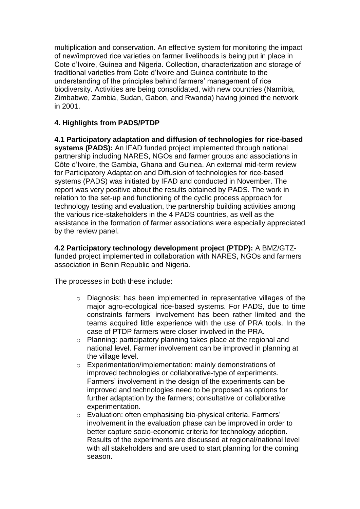multiplication and conservation. An effective system for monitoring the impact of new/improved rice varieties on farmer livelihoods is being put in place in Cote d'Ivoire, Guinea and Nigeria. Collection, characterization and storage of traditional varieties from Cote d'Ivoire and Guinea contribute to the understanding of the principles behind farmers' management of rice biodiversity. Activities are being consolidated, with new countries (Namibia, Zimbabwe, Zambia, Sudan, Gabon, and Rwanda) having joined the network in 2001.

# **4. Highlights from PADS/PTDP**

**4.1 Participatory adaptation and diffusion of technologies for rice-based systems (PADS):** An IFAD funded project implemented through national partnership including NARES, NGOs and farmer groups and associations in Côte d'Ivoire, the Gambia, Ghana and Guinea. An external mid-term review for Participatory Adaptation and Diffusion of technologies for rice-based systems (PADS) was initiated by IFAD and conducted in November. The report was very positive about the results obtained by PADS. The work in relation to the set-up and functioning of the cyclic process approach for technology testing and evaluation, the partnership building activities among the various rice-stakeholders in the 4 PADS countries, as well as the assistance in the formation of farmer associations were especially appreciated by the review panel.

**4.2 Participatory technology development project (PTDP):** A BMZ/GTZfunded project implemented in collaboration with NARES, NGOs and farmers association in Benin Republic and Nigeria.

The processes in both these include:

- o Diagnosis: has been implemented in representative villages of the major agro-ecological rice-based systems. For PADS, due to time constraints farmers' involvement has been rather limited and the teams acquired little experience with the use of PRA tools. In the case of PTDP farmers were closer involved in the PRA.
- o Planning: participatory planning takes place at the regional and national level. Farmer involvement can be improved in planning at the village level.
- o Experimentation/implementation: mainly demonstrations of improved technologies or collaborative-type of experiments. Farmers' involvement in the design of the experiments can be improved and technologies need to be proposed as options for further adaptation by the farmers; consultative or collaborative experimentation.
- o Evaluation: often emphasising bio-physical criteria. Farmers' involvement in the evaluation phase can be improved in order to better capture socio-economic criteria for technology adoption. Results of the experiments are discussed at regional/national level with all stakeholders and are used to start planning for the coming season.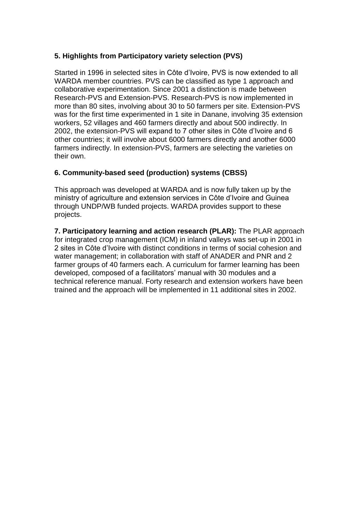# **5. Highlights from Participatory variety selection (PVS)**

Started in 1996 in selected sites in Côte d'Ivoire, PVS is now extended to all WARDA member countries. PVS can be classified as type 1 approach and collaborative experimentation. Since 2001 a distinction is made between Research-PVS and Extension-PVS. Research-PVS is now implemented in more than 80 sites, involving about 30 to 50 farmers per site. Extension-PVS was for the first time experimented in 1 site in Danane, involving 35 extension workers, 52 villages and 460 farmers directly and about 500 indirectly. In 2002, the extension-PVS will expand to 7 other sites in Côte d'Ivoire and 6 other countries; it will involve about 6000 farmers directly and another 6000 farmers indirectly. In extension-PVS, farmers are selecting the varieties on their own.

# **6. Community-based seed (production) systems (CBSS)**

This approach was developed at WARDA and is now fully taken up by the ministry of agriculture and extension services in Côte d'Ivoire and Guinea through UNDP/WB funded projects. WARDA provides support to these projects.

**7. Participatory learning and action research (PLAR):** The PLAR approach for integrated crop management (ICM) in inland valleys was set-up in 2001 in 2 sites in Côte d'Ivoire with distinct conditions in terms of social cohesion and water management; in collaboration with staff of ANADER and PNR and 2 farmer groups of 40 farmers each. A curriculum for farmer learning has been developed, composed of a facilitators' manual with 30 modules and a technical reference manual. Forty research and extension workers have been trained and the approach will be implemented in 11 additional sites in 2002.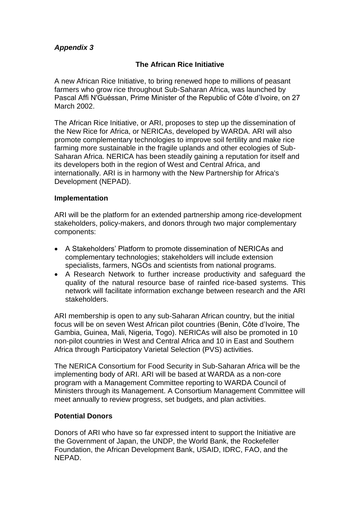# **The African Rice Initiative**

A new African Rice Initiative, to bring renewed hope to millions of peasant farmers who grow rice throughout Sub-Saharan Africa, was launched by Pascal Affi N'Guéssan, Prime Minister of the Republic of Côte d'Ivoire, on 27 March 2002.

The African Rice Initiative, or ARI, proposes to step up the dissemination of the New Rice for Africa, or NERICAs, developed by WARDA. ARI will also promote complementary technologies to improve soil fertility and make rice farming more sustainable in the fragile uplands and other ecologies of Sub-Saharan Africa. NERICA has been steadily gaining a reputation for itself and its developers both in the region of West and Central Africa, and internationally. ARI is in harmony with the New Partnership for Africa's Development (NEPAD).

#### **Implementation**

ARI will be the platform for an extended partnership among rice-development stakeholders, policy-makers, and donors through two major complementary components:

- A Stakeholders' Platform to promote dissemination of NERICAs and complementary technologies; stakeholders will include extension specialists, farmers, NGOs and scientists from national programs.
- A Research Network to further increase productivity and safeguard the quality of the natural resource base of rainfed rice-based systems. This network will facilitate information exchange between research and the ARI stakeholders.

ARI membership is open to any sub-Saharan African country, but the initial focus will be on seven West African pilot countries (Benin, Côte d'Ivoire, The Gambia, Guinea, Mali, Nigeria, Togo). NERICAs will also be promoted in 10 non-pilot countries in West and Central Africa and 10 in East and Southern Africa through Participatory Varietal Selection (PVS) activities.

The NERICA Consortium for Food Security in Sub-Saharan Africa will be the implementing body of ARI. ARI will be based at WARDA as a non-core program with a Management Committee reporting to WARDA Council of Ministers through its Management. A Consortium Management Committee will meet annually to review progress, set budgets, and plan activities.

#### **Potential Donors**

Donors of ARI who have so far expressed intent to support the Initiative are the Government of Japan, the UNDP, the World Bank, the Rockefeller Foundation, the African Development Bank, USAID, IDRC, FAO, and the NEPAD.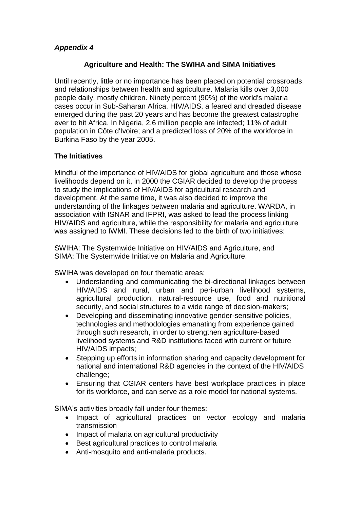## **Agriculture and Health: The SWIHA and SIMA Initiatives**

Until recently, little or no importance has been placed on potential crossroads, and relationships between health and agriculture. Malaria kills over 3,000 people daily, mostly children. Ninety percent (90%) of the world's malaria cases occur in Sub-Saharan Africa. HIV/AIDS, a feared and dreaded disease emerged during the past 20 years and has become the greatest catastrophe ever to hit Africa. In Nigeria, 2.6 million people are infected; 11% of adult population in Côte d'Ivoire; and a predicted loss of 20% of the workforce in Burkina Faso by the year 2005.

# **The Initiatives**

Mindful of the importance of HIV/AIDS for global agriculture and those whose livelihoods depend on it, in 2000 the CGIAR decided to develop the process to study the implications of HIV/AIDS for agricultural research and development. At the same time, it was also decided to improve the understanding of the linkages between malaria and agriculture. WARDA, in association with ISNAR and IFPRI, was asked to lead the process linking HIV/AIDS and agriculture, while the responsibility for malaria and agriculture was assigned to IWMI. These decisions led to the birth of two initiatives:

SWIHA: The Systemwide Initiative on HIV/AIDS and Agriculture, and SIMA: The Systemwide Initiative on Malaria and Agriculture.

SWIHA was developed on four thematic areas:

- Understanding and communicating the bi-directional linkages between HIV/AIDS and rural, urban and peri-urban livelihood systems, agricultural production, natural-resource use, food and nutritional security, and social structures to a wide range of decision-makers;
- Developing and disseminating innovative gender-sensitive policies, technologies and methodologies emanating from experience gained through such research, in order to strengthen agriculture-based livelihood systems and R&D institutions faced with current or future HIV/AIDS impacts;
- Stepping up efforts in information sharing and capacity development for national and international R&D agencies in the context of the HIV/AIDS challenge;
- Ensuring that CGIAR centers have best workplace practices in place for its workforce, and can serve as a role model for national systems.

SIMA's activities broadly fall under four themes:

- Impact of agricultural practices on vector ecology and malaria transmission
- Impact of malaria on agricultural productivity
- Best agricultural practices to control malaria
- Anti-mosquito and anti-malaria products.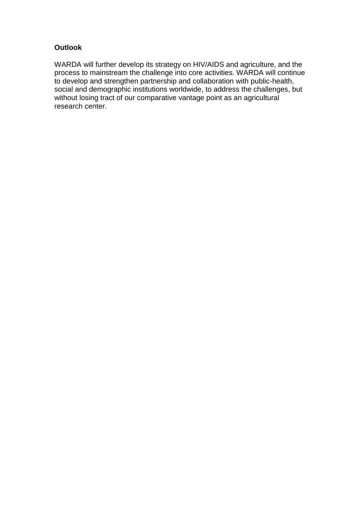# **Outlook**

WARDA will further develop its strategy on HIV/AIDS and agriculture, and the process to mainstream the challenge into core activities. WARDA will continue to develop and strengthen partnership and collaboration with public-health, social and demographic institutions worldwide, to address the challenges, but without losing tract of our comparative vantage point as an agricultural research center.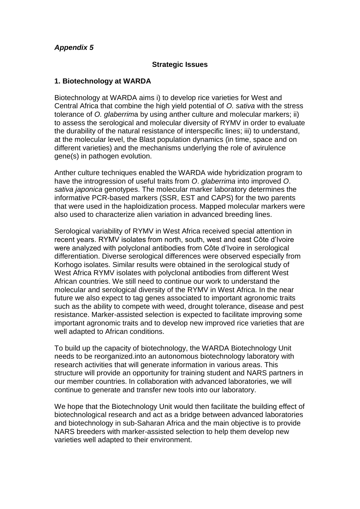### **Strategic Issues**

## **1. Biotechnology at WARDA**

Biotechnology at WARDA aims i) to develop rice varieties for West and Central Africa that combine the high yield potential of *O. sativa* with the stress tolerance of *O. glaberrim*a by using anther culture and molecular markers; ii) to assess the serological and molecular diversity of RYMV in order to evaluate the durability of the natural resistance of interspecific lines; iii) to understand, at the molecular level, the Blast population dynamics (in time, space and on different varieties) and the mechanisms underlying the role of avirulence gene(s) in pathogen evolution.

Anther culture techniques enabled the WARDA wide hybridization program to have the introgression of useful traits from *O*. *glaberrima* into improved *O*. *sativa japonica* genotypes. The molecular marker laboratory determines the informative PCR-based markers (SSR, EST and CAPS) for the two parents that were used in the haploidization process. Mapped molecular markers were also used to characterize alien variation in advanced breeding lines.

Serological variability of RYMV in West Africa received special attention in recent years. RYMV isolates from north, south, west and east Côte d'Ivoire were analyzed with polyclonal antibodies from Côte d'Ivoire in serological differentiation. Diverse serological differences were observed especially from Korhogo isolates. Similar results were obtained in the serological study of West Africa RYMV isolates with polyclonal antibodies from different West African countries. We still need to continue our work to understand the molecular and serological diversity of the RYMV in West Africa. In the near future we also expect to tag genes associated to important agronomic traits such as the ability to compete with weed, drought tolerance, disease and pest resistance. Marker-assisted selection is expected to facilitate improving some important agronomic traits and to develop new improved rice varieties that are well adapted to African conditions.

To build up the capacity of biotechnology, the WARDA Biotechnology Unit needs to be reorganized.into an autonomous biotechnology laboratory with research activities that will generate information in various areas. This structure will provide an opportunity for training student and NARS partners in our member countries. In collaboration with advanced laboratories, we will continue to generate and transfer new tools into our laboratory.

We hope that the Biotechnology Unit would then facilitate the building effect of biotechnological research and act as a bridge between advanced laboratories and biotechnology in sub-Saharan Africa and the main objective is to provide NARS breeders with marker-assisted selection to help them develop new varieties well adapted to their environment.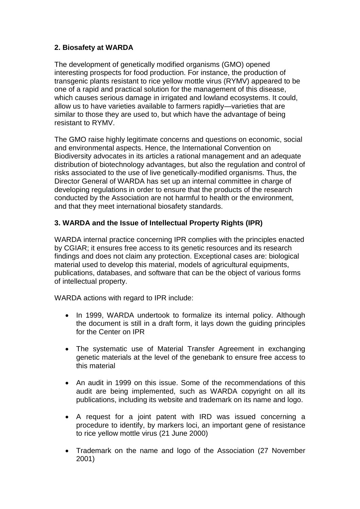# **2. Biosafety at WARDA**

The development of genetically modified organisms (GMO) opened interesting prospects for food production. For instance, the production of transgenic plants resistant to rice yellow mottle virus (RYMV) appeared to be one of a rapid and practical solution for the management of this disease, which causes serious damage in irrigated and lowland ecosystems. It could, allow us to have varieties available to farmers rapidly—varieties that are similar to those they are used to, but which have the advantage of being resistant to RYMV.

The GMO raise highly legitimate concerns and questions on economic, social and environmental aspects. Hence, the International Convention on Biodiversity advocates in its articles a rational management and an adequate distribution of biotechnology advantages, but also the regulation and control of risks associated to the use of live genetically-modified organisms. Thus, the Director General of WARDA has set up an internal committee in charge of developing regulations in order to ensure that the products of the research conducted by the Association are not harmful to health or the environment, and that they meet international biosafety standards.

# **3. WARDA and the Issue of Intellectual Property Rights (IPR)**

WARDA internal practice concerning IPR complies with the principles enacted by CGIAR; it ensures free access to its genetic resources and its research findings and does not claim any protection. Exceptional cases are: biological material used to develop this material, models of agricultural equipments, publications, databases, and software that can be the object of various forms of intellectual property.

WARDA actions with regard to IPR include:

- In 1999, WARDA undertook to formalize its internal policy. Although the document is still in a draft form, it lays down the guiding principles for the Center on IPR
- The systematic use of Material Transfer Agreement in exchanging genetic materials at the level of the genebank to ensure free access to this material
- An audit in 1999 on this issue. Some of the recommendations of this audit are being implemented, such as WARDA copyright on all its publications, including its website and trademark on its name and logo.
- A request for a joint patent with IRD was issued concerning a procedure to identify, by markers loci, an important gene of resistance to rice yellow mottle virus (21 June 2000)
- Trademark on the name and logo of the Association (27 November 2001)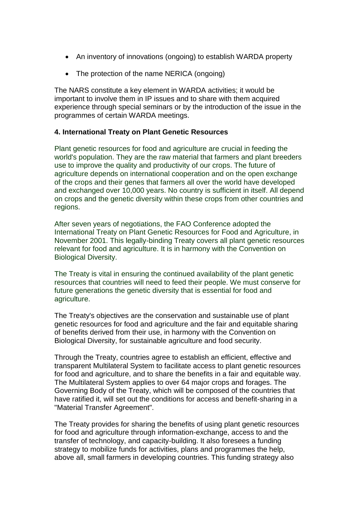- An inventory of innovations (ongoing) to establish WARDA property
- The protection of the name NERICA (ongoing)

The NARS constitute a key element in WARDA activities; it would be important to involve them in IP issues and to share with them acquired experience through special seminars or by the introduction of the issue in the programmes of certain WARDA meetings.

## **4. International Treaty on Plant Genetic Resources**

Plant genetic resources for food and agriculture are crucial in feeding the world's population. They are the raw material that farmers and plant breeders use to improve the quality and productivity of our crops. The future of agriculture depends on international cooperation and on the open exchange of the crops and their genes that farmers all over the world have developed and exchanged over 10,000 years. No country is sufficient in itself. All depend on crops and the genetic diversity within these crops from other countries and regions.

After seven years of negotiations, the FAO Conference adopted the International Treaty on Plant Genetic Resources for Food and Agriculture, in November 2001. This legally-binding Treaty covers all plant genetic resources relevant for food and agriculture. It is in harmony with the Convention on Biological Diversity.

The Treaty is vital in ensuring the continued availability of the plant genetic resources that countries will need to feed their people. We must conserve for future generations the genetic diversity that is essential for food and agriculture.

The Treaty's objectives are the conservation and sustainable use of plant genetic resources for food and agriculture and the fair and equitable sharing of benefits derived from their use, in harmony with the Convention on Biological Diversity, for sustainable agriculture and food security.

Through the Treaty, countries agree to establish an efficient, effective and transparent Multilateral System to facilitate access to plant genetic resources for food and agriculture, and to share the benefits in a fair and equitable way. The Multilateral System applies to over 64 major crops and forages. The Governing Body of the Treaty, which will be composed of the countries that have ratified it, will set out the conditions for access and benefit-sharing in a "Material Transfer Agreement".

The Treaty provides for sharing the benefits of using plant genetic resources for food and agriculture through information-exchange, access to and the transfer of technology, and capacity-building. It also foresees a funding strategy to mobilize funds for activities, plans and programmes the help, above all, small farmers in developing countries. This funding strategy also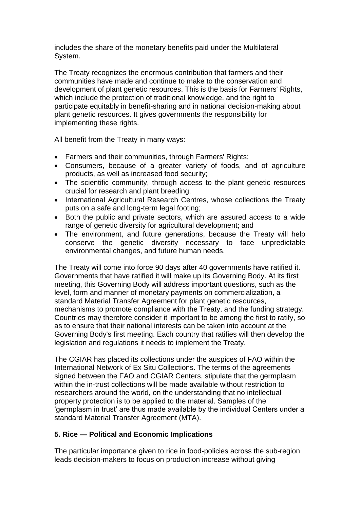includes the share of the monetary benefits paid under the Multilateral System.

The Treaty recognizes the enormous contribution that farmers and their communities have made and continue to make to the conservation and development of plant genetic resources. This is the basis for Farmers' Rights, which include the protection of traditional knowledge, and the right to participate equitably in benefit-sharing and in national decision-making about plant genetic resources. It gives governments the responsibility for implementing these rights.

All benefit from the Treaty in many ways:

- Farmers and their communities, through Farmers' Rights;
- Consumers, because of a greater variety of foods, and of agriculture products, as well as increased food security;
- The scientific community, through access to the plant genetic resources crucial for research and plant breeding;
- International Agricultural Research Centres, whose collections the Treaty puts on a safe and long-term legal footing;
- Both the public and private sectors, which are assured access to a wide range of genetic diversity for agricultural development; and
- The environment, and future generations, because the Treaty will help conserve the genetic diversity necessary to face unpredictable environmental changes, and future human needs.

The Treaty will come into force 90 days after 40 governments have ratified it. Governments that have ratified it will make up its Governing Body. At its first meeting, this Governing Body will address important questions, such as the level, form and manner of monetary payments on commercialization, a standard Material Transfer Agreement for plant genetic resources, mechanisms to promote compliance with the Treaty, and the funding strategy. Countries may therefore consider it important to be among the first to ratify, so as to ensure that their national interests can be taken into account at the Governing Body's first meeting. Each country that ratifies will then develop the legislation and regulations it needs to implement the Treaty.

The CGIAR has placed its collections under the auspices of FAO within the International Network of Ex Situ Collections. The terms of the agreements signed between the FAO and CGIAR Centers, stipulate that the germplasm within the in-trust collections will be made available without restriction to researchers around the world, on the understanding that no intellectual property protection is to be applied to the material. Samples of the 'germplasm in trust' are thus made available by the individual Centers under a standard Material Transfer Agreement (MTA).

# **5. Rice — Political and Economic Implications**

The particular importance given to rice in food-policies across the sub-region leads decision-makers to focus on production increase without giving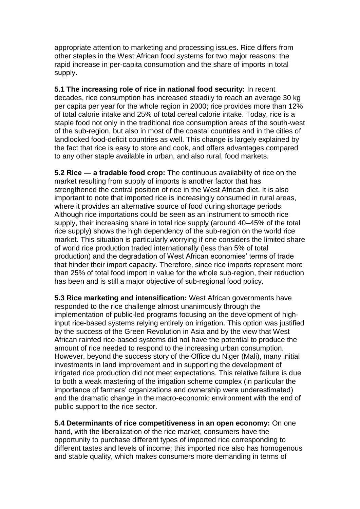appropriate attention to marketing and processing issues. Rice differs from other staples in the West African food systems for two major reasons: the rapid increase in per-capita consumption and the share of imports in total supply.

**5.1 The increasing role of rice in national food security:** In recent decades, rice consumption has increased steadily to reach an average 30 kg per capita per year for the whole region in 2000; rice provides more than 12% of total calorie intake and 25% of total cereal calorie intake. Today, rice is a staple food not only in the traditional rice consumption areas of the south-west of the sub-region, but also in most of the coastal countries and in the cities of landlocked food-deficit countries as well. This change is largely explained by the fact that rice is easy to store and cook, and offers advantages compared to any other staple available in urban, and also rural, food markets.

**5.2 Rice ― a tradable food crop:** The continuous availability of rice on the market resulting from supply of imports is another factor that has strengthened the central position of rice in the West African diet. It is also important to note that imported rice is increasingly consumed in rural areas, where it provides an alternative source of food during shortage periods. Although rice importations could be seen as an instrument to smooth rice supply, their increasing share in total rice supply (around 40–45% of the total rice supply) shows the high dependency of the sub-region on the world rice market. This situation is particularly worrying if one considers the limited share of world rice production traded internationally (less than 5% of total production) and the degradation of West African economies' terms of trade that hinder their import capacity. Therefore, since rice imports represent more than 25% of total food import in value for the whole sub-region, their reduction has been and is still a major objective of sub-regional food policy.

**5.3 Rice marketing and intensification:** West African governments have responded to the rice challenge almost unanimously through the implementation of public-led programs focusing on the development of highinput rice-based systems relying entirely on irrigation. This option was justified by the success of the Green Revolution in Asia and by the view that West African rainfed rice-based systems did not have the potential to produce the amount of rice needed to respond to the increasing urban consumption. However, beyond the success story of the Office du Niger (Mali), many initial investments in land improvement and in supporting the development of irrigated rice production did not meet expectations. This relative failure is due to both a weak mastering of the irrigation scheme complex (in particular the importance of farmers' organizations and ownership were underestimated) and the dramatic change in the macro-economic environment with the end of public support to the rice sector.

**5.4 Determinants of rice competitiveness in an open economy:** On one hand, with the liberalization of the rice market, consumers have the opportunity to purchase different types of imported rice corresponding to different tastes and levels of income; this imported rice also has homogenous and stable quality, which makes consumers more demanding in terms of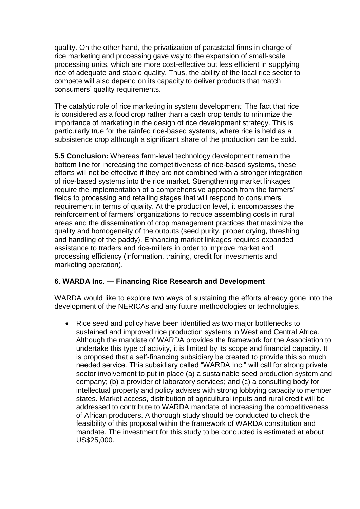quality. On the other hand, the privatization of parastatal firms in charge of rice marketing and processing gave way to the expansion of small-scale processing units, which are more cost-effective but less efficient in supplying rice of adequate and stable quality. Thus, the ability of the local rice sector to compete will also depend on its capacity to deliver products that match consumers' quality requirements.

The catalytic role of rice marketing in system development: The fact that rice is considered as a food crop rather than a cash crop tends to minimize the importance of marketing in the design of rice development strategy. This is particularly true for the rainfed rice-based systems, where rice is held as a subsistence crop although a significant share of the production can be sold.

**5.5 Conclusion:** Whereas farm-level technology development remain the bottom line for increasing the competitiveness of rice-based systems, these efforts will not be effective if they are not combined with a stronger integration of rice-based systems into the rice market. Strengthening market linkages require the implementation of a comprehensive approach from the farmers' fields to processing and retailing stages that will respond to consumers' requirement in terms of quality. At the production level, it encompasses the reinforcement of farmers' organizations to reduce assembling costs in rural areas and the dissemination of crop management practices that maximize the quality and homogeneity of the outputs (seed purity, proper drying, threshing and handling of the paddy). Enhancing market linkages requires expanded assistance to traders and rice-millers in order to improve market and processing efficiency (information, training, credit for investments and marketing operation).

# **6. WARDA Inc. ― Financing Rice Research and Development**

WARDA would like to explore two ways of sustaining the efforts already gone into the development of the NERICAs and any future methodologies or technologies.

 Rice seed and policy have been identified as two major bottlenecks to sustained and improved rice production systems in West and Central Africa. Although the mandate of WARDA provides the framework for the Association to undertake this type of activity, it is limited by its scope and financial capacity. It is proposed that a self-financing subsidiary be created to provide this so much needed service. This subsidiary called "WARDA Inc." will call for strong private sector involvement to put in place (a) a sustainable seed production system and company; (b) a provider of laboratory services; and (c) a consulting body for intellectual property and policy advises with strong lobbying capacity to member states. Market access, distribution of agricultural inputs and rural credit will be addressed to contribute to WARDA mandate of increasing the competitiveness of African producers. A thorough study should be conducted to check the feasibility of this proposal within the framework of WARDA constitution and mandate. The investment for this study to be conducted is estimated at about US\$25,000.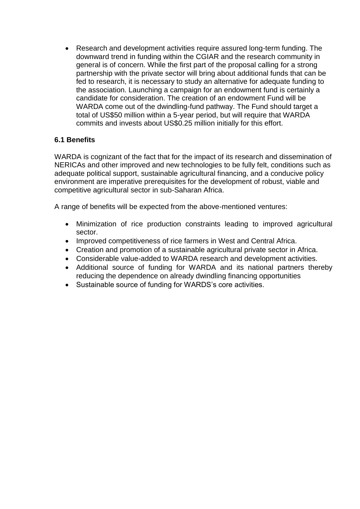Research and development activities require assured long-term funding. The downward trend in funding within the CGIAR and the research community in general is of concern. While the first part of the proposal calling for a strong partnership with the private sector will bring about additional funds that can be fed to research, it is necessary to study an alternative for adequate funding to the association. Launching a campaign for an endowment fund is certainly a candidate for consideration. The creation of an endowment Fund will be WARDA come out of the dwindling-fund pathway. The Fund should target a total of US\$50 million within a 5-year period, but will require that WARDA commits and invests about US\$0.25 million initially for this effort.

# **6.1 Benefits**

WARDA is cognizant of the fact that for the impact of its research and dissemination of NERICAs and other improved and new technologies to be fully felt, conditions such as adequate political support, sustainable agricultural financing, and a conducive policy environment are imperative prerequisites for the development of robust, viable and competitive agricultural sector in sub-Saharan Africa.

A range of benefits will be expected from the above-mentioned ventures:

- Minimization of rice production constraints leading to improved agricultural sector.
- Improved competitiveness of rice farmers in West and Central Africa.
- Creation and promotion of a sustainable agricultural private sector in Africa.
- Considerable value-added to WARDA research and development activities.
- Additional source of funding for WARDA and its national partners thereby reducing the dependence on already dwindling financing opportunities
- Sustainable source of funding for WARDS's core activities.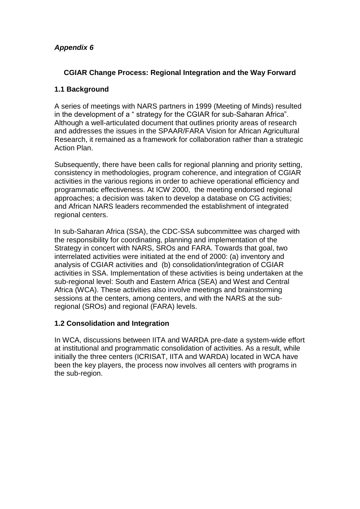# **CGIAR Change Process: Regional Integration and the Way Forward**

# **1.1 Background**

A series of meetings with NARS partners in 1999 (Meeting of Minds) resulted in the development of a " strategy for the CGIAR for sub-Saharan Africa". Although a well-articulated document that outlines priority areas of research and addresses the issues in the SPAAR/FARA Vision for African Agricultural Research, it remained as a framework for collaboration rather than a strategic Action Plan.

Subsequently, there have been calls for regional planning and priority setting, consistency in methodologies, program coherence, and integration of CGIAR activities in the various regions in order to achieve operational efficiency and programmatic effectiveness. At ICW 2000, the meeting endorsed regional approaches; a decision was taken to develop a database on CG activities; and African NARS leaders recommended the establishment of integrated regional centers.

In sub-Saharan Africa (SSA), the CDC-SSA subcommittee was charged with the responsibility for coordinating, planning and implementation of the Strategy in concert with NARS, SROs and FARA. Towards that goal, two interrelated activities were initiated at the end of 2000: (a) inventory and analysis of CGIAR activities and (b) consolidation/integration of CGIAR activities in SSA. Implementation of these activities is being undertaken at the sub-regional level: South and Eastern Africa (SEA) and West and Central Africa (WCA). These activities also involve meetings and brainstorming sessions at the centers, among centers, and with the NARS at the subregional (SROs) and regional (FARA) levels.

# **1.2 Consolidation and Integration**

In WCA, discussions between IITA and WARDA pre-date a system-wide effort at institutional and programmatic consolidation of activities. As a result, while initially the three centers (ICRISAT, IITA and WARDA) located in WCA have been the key players, the process now involves all centers with programs in the sub-region.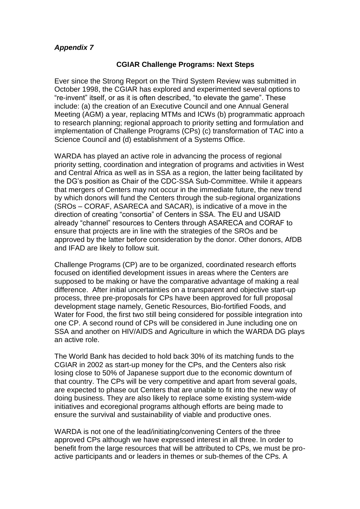#### **CGIAR Challenge Programs: Next Steps**

Ever since the Strong Report on the Third System Review was submitted in October 1998, the CGIAR has explored and experimented several options to "re-invent" itself, or as it is often described, "to elevate the game". These include: (a) the creation of an Executive Council and one Annual General Meeting (AGM) a year, replacing MTMs and ICWs (b) programmatic approach to research planning; regional approach to priority setting and formulation and implementation of Challenge Programs (CPs) (c) transformation of TAC into a Science Council and (d) establishment of a Systems Office.

WARDA has played an active role in advancing the process of regional priority setting, coordination and integration of programs and activities in West and Central Africa as well as in SSA as a region, the latter being facilitated by the DG's position as Chair of the CDC-SSA Sub-Committee. While it appears that mergers of Centers may not occur in the immediate future, the new trend by which donors will fund the Centers through the sub-regional organizations (SROs – CORAF, ASARECA and SACAR), is indicative of a move in the direction of creating "consortia" of Centers in SSA. The EU and USAID already "channel" resources to Centers through ASARECA and CORAF to ensure that projects are in line with the strategies of the SROs and be approved by the latter before consideration by the donor. Other donors, AfDB and IFAD are likely to follow suit.

Challenge Programs (CP) are to be organized, coordinated research efforts focused on identified development issues in areas where the Centers are supposed to be making or have the comparative advantage of making a real difference. After initial uncertainties on a transparent and objective start-up process, three pre-proposals for CPs have been approved for full proposal development stage namely, Genetic Resources, Bio-fortified Foods, and Water for Food, the first two still being considered for possible integration into one CP. A second round of CPs will be considered in June including one on SSA and another on HIV/AIDS and Agriculture in which the WARDA DG plays an active role.

The World Bank has decided to hold back 30% of its matching funds to the CGIAR in 2002 as start-up money for the CPs, and the Centers also risk losing close to 50% of Japanese support due to the economic downturn of that country. The CPs will be very competitive and apart from several goals, are expected to phase out Centers that are unable to fit into the new way of doing business. They are also likely to replace some existing system-wide initiatives and ecoregional programs although efforts are being made to ensure the survival and sustainability of viable and productive ones.

WARDA is not one of the lead/initiating/convening Centers of the three approved CPs although we have expressed interest in all three. In order to benefit from the large resources that will be attributed to CPs, we must be proactive participants and or leaders in themes or sub-themes of the CPs. A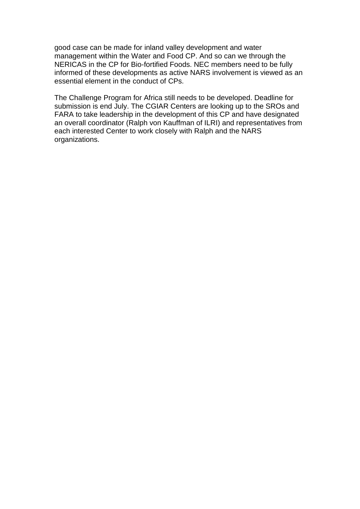good case can be made for inland valley development and water management within the Water and Food CP. And so can we through the NERICAS in the CP for Bio-fortified Foods. NEC members need to be fully informed of these developments as active NARS involvement is viewed as an essential element in the conduct of CPs.

The Challenge Program for Africa still needs to be developed. Deadline for submission is end July. The CGIAR Centers are looking up to the SROs and FARA to take leadership in the development of this CP and have designated an overall coordinator (Ralph von Kauffman of ILRI) and representatives from each interested Center to work closely with Ralph and the NARS organizations.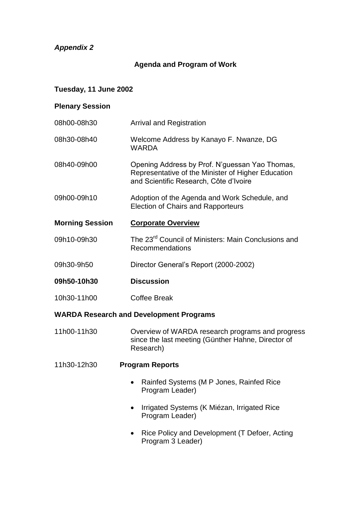# **Agenda and Program of Work**

## **Tuesday, 11 June 2002**

### **Plenary Session**

- 08h00-08h30 Arrival and Registration 08h30-08h40 Welcome Address by Kanayo F. Nwanze, DG WARDA 08h40-09h00 Opening Address by Prof. N'guessan Yao Thomas, Representative of the Minister of Higher Education and Scientific Research, Côte d'Ivoire 09h00-09h10 Adoption of the Agenda and Work Schedule, and Election of Chairs and Rapporteurs **Morning Session Corporate Overview** 09h10-09h30 The 23<sup>rd</sup> Council of Ministers: Main Conclusions and Recommendations 09h30-9h50 Director General's Report (2000-2002)
- **09h50-10h30 Discussion**
- 10h30-11h00 Coffee Break

#### **WARDA Research and Development Programs**

- 11h00-11h30 Overview of WARDA research programs and progress since the last meeting (Günther Hahne, Director of Research)
- 11h30-12h30 **Program Reports**
	- Rainfed Systems (M P Jones, Rainfed Rice Program Leader)
	- Irrigated Systems (K Miézan, Irrigated Rice Program Leader)
	- Rice Policy and Development (T Defoer, Acting Program 3 Leader)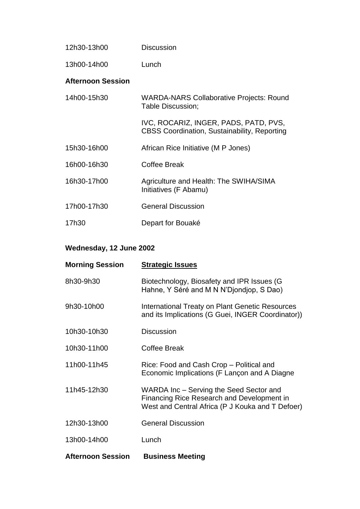| 12h30-13h00              | <b>Discussion</b>                                                                            |
|--------------------------|----------------------------------------------------------------------------------------------|
| 13h00-14h00              | Lunch                                                                                        |
| <b>Afternoon Session</b> |                                                                                              |
| 14h00-15h30              | <b>WARDA-NARS Collaborative Projects: Round</b><br>Table Discussion;                         |
|                          | IVC, ROCARIZ, INGER, PADS, PATD, PVS,<br><b>CBSS Coordination, Sustainability, Reporting</b> |
| 15h30-16h00              | African Rice Initiative (M P Jones)                                                          |
| 16h00-16h30              | Coffee Break                                                                                 |
| 16h30-17h00              | Agriculture and Health: The SWIHA/SIMA<br>Initiatives (F Abamu)                              |
| 17h00-17h30              | <b>General Discussion</b>                                                                    |
| 17h30                    | Depart for Bouaké                                                                            |

# **Wednesday, 12 June 2002**

| <b>Morning Session</b>   | <b>Strategic Issues</b>                                                                                                                   |
|--------------------------|-------------------------------------------------------------------------------------------------------------------------------------------|
| 8h30-9h30                | Biotechnology, Biosafety and IPR Issues (G<br>Hahne, Y Séré and M N N'Djondjop, S Dao)                                                    |
| 9h30-10h00               | International Treaty on Plant Genetic Resources<br>and its Implications (G Guei, INGER Coordinator))                                      |
| 10h30-10h30              | <b>Discussion</b>                                                                                                                         |
| 10h30-11h00              | <b>Coffee Break</b>                                                                                                                       |
| 11h00-11h45              | Rice: Food and Cash Crop – Political and<br>Economic Implications (F Lançon and A Diagne                                                  |
| 11h45-12h30              | WARDA Inc – Serving the Seed Sector and<br>Financing Rice Research and Development in<br>West and Central Africa (P J Kouka and T Defoer) |
| 12h30-13h00              | <b>General Discussion</b>                                                                                                                 |
| 13h00-14h00              | Lunch                                                                                                                                     |
| <b>Afternoon Session</b> | <b>Business Meeting</b>                                                                                                                   |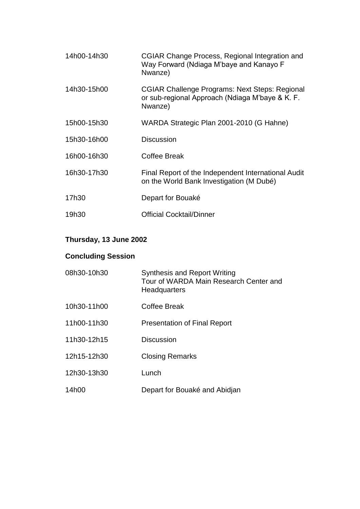| 14h00-14h30 | CGIAR Change Process, Regional Integration and<br>Way Forward (Ndiaga M'baye and Kanayo F<br>Nwanze)         |
|-------------|--------------------------------------------------------------------------------------------------------------|
| 14h30-15h00 | CGIAR Challenge Programs: Next Steps: Regional<br>or sub-regional Approach (Ndiaga M'baye & K. F.<br>Nwanze) |
| 15h00-15h30 | WARDA Strategic Plan 2001-2010 (G Hahne)                                                                     |
| 15h30-16h00 | <b>Discussion</b>                                                                                            |
| 16h00-16h30 | Coffee Break                                                                                                 |
| 16h30-17h30 | Final Report of the Independent International Audit<br>on the World Bank Investigation (M Dubé)              |
| 17h30       | Depart for Bouaké                                                                                            |
| 19h30       | Official Cocktail/Dinner                                                                                     |

# **Thursday, 13 June 2002**

# **Concluding Session**

| 08h30-10h30 | <b>Synthesis and Report Writing</b><br>Tour of WARDA Main Research Center and<br><b>Headquarters</b> |
|-------------|------------------------------------------------------------------------------------------------------|
| 10h30-11h00 | Coffee Break                                                                                         |
| 11h00-11h30 | <b>Presentation of Final Report</b>                                                                  |
| 11h30-12h15 | <b>Discussion</b>                                                                                    |
| 12h15-12h30 | <b>Closing Remarks</b>                                                                               |
| 12h30-13h30 | Lunch                                                                                                |
| 14h00       | Depart for Bouaké and Abidjan                                                                        |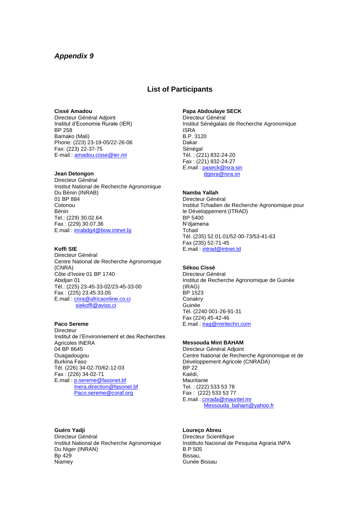#### **List of Participants**

#### **Cissé Amadou**

Directeur Général Adjoint Institut d'Economie Rurale (IER) BP 258 Bamako (Mali) Phone: (223) 23-19-05/22-26-06 Fax: (223) 22-37-75 E-mail : [amadou.cisse@ier.ml](mailto:amadou.cisse@ier.ml)

#### **Jean Detongon**

Directeur Général Institut National de Recherche Agronomique Du Bénin (INRAB) 01 BP 884 **Cotonou** Bénin Tel.: (229) 30.02.64 Fax : (229) 30.07.36 E.mail [: inrabdg4@bow.intnet.bj](mailto:inrabdg4@bow.intnet.bj)

#### **Koffi SIE**

Directeur Général Centre National de Recherche Agronomique (CNRA) Côte d'Ivoire 01 BP 1740 Abidjan 01 Tél.: (225) 23-45-33-02/23-45-33-00 Fax : (225) 23.45.33.05 E.mail[: cnra@africaonline.co.ci](mailto:cnra@africaonline.co.ci) [siekoffi@aviso.ci](mailto:siekoffi@aviso.ci)

#### **Paco Sereme**

**Directeur** Institut de l'Environnement et des Recherches Agricoles INERA 04 BP 8645 **Ouagadougou** Burkina Faso Tél. (226) 34-02-70/62-12-03 Fax : (226) 34-02-71 E.mail [: p.sereme@fasonet.bf](mailto:p.sereme@fasonet.bf) [Inera.direction@fasonet.bf](mailto:Inera.direction@fasonet.bf) [Paco.sereme@coraf.org](mailto:Paco.sereme@coraf.org)

#### **Papa Abdoulaye SECK**

Directeur Général Institut Sénégalais de Recherche Agronomique ISRA B.P. 3120 Dakar Sénégal Tél. : (221) 832-24-20 Fax : (221) 832-24-27 E.mail [: paseck@isra.sin](mailto:paseck@isra.sin) [dgisra@isra.sn](mailto:dgisra@isra.sn)

#### **Namba Yallah**

Directeur Général Institut Tchadien de Recherche Agronomique pour le Développement (ITRAD) BP 5400 N'djamena **T**chad Tél. (235) 52.01.01/52-00-73/53-41-63 Fax (235) 52-71-45 E.mail [: intrad@intnet.td](mailto:intrad@intnet.td)

#### **Sékou Cissé**

Directeur Général Institut de Recherche Agronomique de Guinée (IRAG) BP 1523 **Conakry** Guinée Tél. (2240 001-26-91-31 Fax (224) 45-42-46 E.mail [: irag@miritechn.com](mailto:irag@miritechn.com)

#### **Messouda Mint BAHAM**

Directeur Général Adjoint Centre National de Recherche Agronomique et de Développement Agricole (CNRADA) BP 22 Kaédi, Mauritanie Tel. : (222) 533 53 78 Fax : (222) 533 53 77 E.mail [: cnrada@mauritel.mr](mailto:cnrada@mauritel.mr) [Messouda\\_baham@yahoo.fr](mailto:Messouda_baham@yahoo.fr)

**Guéro Yadji** Directeur Général Institut National de Recherche Agronomique Du Niger (INRAN) Bp 429 **Niamey** 

#### **Loureço Abreu**

Directeur Scientifique Instittuto Nacional de Pesquisa Agraria INPA B.P 505 Bissau, Gunée Bissau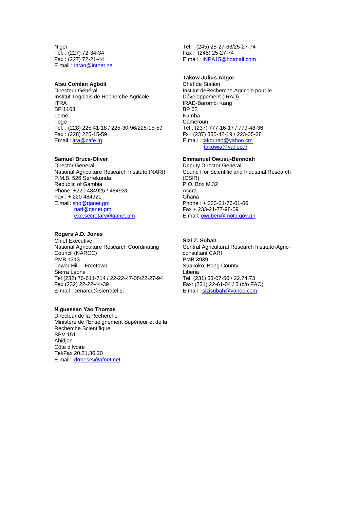Niger Tél. : (227) 72-34-34 Fax : (227) 72-21-44 E.mail [: inran@intnet.ne](mailto:inran@intnet.ne)

#### **Atsu Comlan Agboli**

Directeur Général Institut Togolais de Recherche Agricole ITRA BP 1163 Lomé Togo Tel. : (228) 225 41-18 / 225-30-96/225-15-59 Fax : (228) 225-15-59 Email : [itra@cafe.tg](mailto:itra@cafe.tg)

#### **Samuel Bruce-Oliver**

Director General National Agriculture Research Institute (NARI) P.M.B. 526 Serrekunda Republic of Gambia Phone: +220 484925 / 484931 Fax : + 220 484921 E.mail: [sbo@qanet.gm](mailto:sbo@qanet.gm) [nari@qanet.gm](mailto:nari@qanet.gm) [exe.secretary@qanet.gm](mailto:exe.secretary@qanet.gm)

#### **Rogers A.D. Jones**

Chief Executive National Agriculture Research Coordinating Council (NARCC) PMB 1313 Tower Hill – Freetown Sierra Leone Tel (232) 76-611-714 / 22-22-47-08/22-27-94 Fax (232) 22-22-44-39 E-mail : cenarcc@sierratel.sl

#### **N'guessan Yao Thomas**

Directeur de la Recherche Ministère de l'Enseignement Supérieur et de la Recherche Scientifique BPV 151 Abidjan Côte d'Ivoire Tel/Fax 20.21.36.20 E.mail [: drmesrs@afnet.net](mailto:drmesrs@afnet.net)

Tél. : (245) 25-27-63/25-27-74 Fax : (245) 25-27-74 E.mail [: INPA15@hotmail.com](mailto:INPA15@hotmail.com)

#### **Takow Julius Abgor**

Chef de Station Institut deRecherche Agricole pour le Développement (IRAD) IRAD-Barombi Kang BP 62 Kumba Cameroun Tél : (237) 777-16-17 / 779-48-36 Fx : (237) 335-42-19 / 223-35-38 E.mail [: takorirad@yahoo.cm](mailto:takorirad@yahoo.cm) [takowja@yahoo.fr](mailto:takowja@yahoo.fr)

#### **Emmanuel Owusu-Bennoah**

Deputy Director General Council for Scientific and Industrial Research (CSIR) P.O. Box M.32 Accra Ghana Phone : + 233-21-76-01-66 Fax + 233-21-77-98-09 E.mail: [owuben@mofa.gov.gh](mailto:owuben@mofa.gov.gh)

#### **Sizi Z. Subah**

Central Agricultural Research Institute-Agricconsultant CARI PMB 3939 Suakoko, Bong County Liberia Tel. (231) 33-07-56 / 22.74.73 Fax: (231) 22-61-04 / 5 (c/o FAO) E.mail [: sizisubah@yahoo.com](mailto:sizisubah@yahoo.com)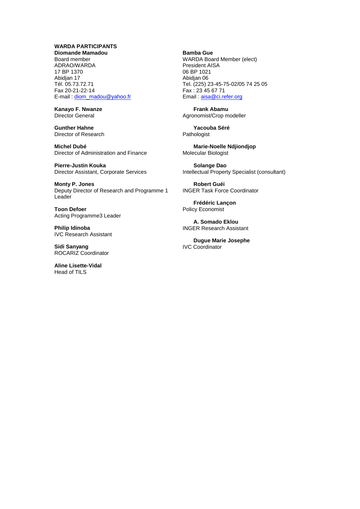#### **WARDA PARTICIPANTS**

**Diomande Mamadou** Board member ADRAO/WARDA 17 BP 1370 Abidian 17 Tél. 05.73.72.71 Fax 20-21-22-14 E-mail : [diom\\_madou@yahoo.fr](mailto:diom_madou@yahoo.fr)

**Kanayo F. Nwanze** Director General

**Gunther Hahne** Director of Research

**Michel Dubé** Director of Administration and Finance

**Pierre-Justin Kouka** Director Assistant, Corporate Services

**Monty P. Jones** Deputy Director of Research and Programme 1 **Leader** 

**Toon Defoer** Acting Programme3 Leader

**Philip Idinoba** IVC Research Assistant

**Sidi Sanyang** ROCARIZ Coordinator

**Aline Lisette-Vidal** Head of TILS

**Bamba Gue** WARDA Board Member (elect) President AISA 06 BP 1021 Abidjan 06 Tel. (225) 23-45-75-02/05 74 25 05 Fax : 23 45 67 71 Email : [aisa@ci.refer.org](mailto:aisa@ci.refer.org)

**Frank Abamu** Agronomist/Crop modeller

**Yacouba Séré** Pathologist

**Marie-Noelle Ndjiondjop** Molecular Biologist

**Solange Dao** Intellectual Property Specialist (consultant)

**Robert Guéi** INGER Task Force Coordinator

**Frédéric Lançon** Policy Economist

**A. Somado Eklou** INGER Research Assistant

**Dugue Marie Josephe** IVC Coordinator